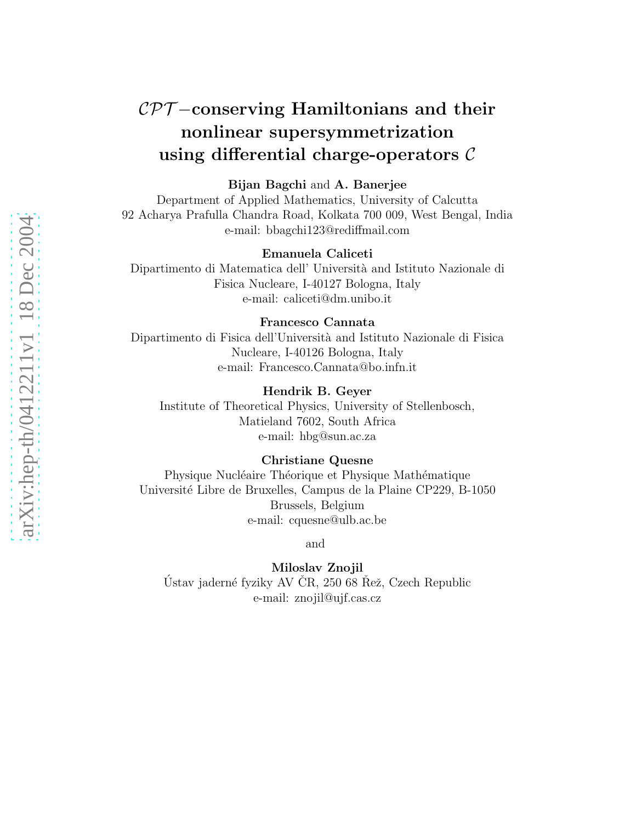# arXiv:hep-th/0412211v1 18 Dec 2004 [arXiv:hep-th/0412211v1 18 Dec 2004](http://arxiv.org/abs/hep-th/0412211v1)

# CPT-conserving Hamiltonians and their nonlinear supersymmetrization using differential charge-operators  $\mathcal C$

### Bijan Bagchi and A. Banerjee

Department of Applied Mathematics, University of Calcutta 92 Acharya Prafulla Chandra Road, Kolkata 700 009, West Bengal, India e-mail: bbagchi123@rediffmail.com

### Emanuela Caliceti

Dipartimento di Matematica dell' Universit`a and Istituto Nazionale di Fisica Nucleare, I-40127 Bologna, Italy e-mail: caliceti@dm.unibo.it

### Francesco Cannata

Dipartimento di Fisica dell'Universit`a and Istituto Nazionale di Fisica Nucleare, I-40126 Bologna, Italy e-mail: Francesco.Cannata@bo.infn.it

### Hendrik B. Geyer

Institute of Theoretical Physics, University of Stellenbosch, Matieland 7602, South Africa e-mail: hbg@sun.ac.za

### Christiane Quesne

Physique Nucléaire Théorique et Physique Mathématique Universit´e Libre de Bruxelles, Campus de la Plaine CP229, B-1050 Brussels, Belgium e-mail: cquesne@ulb.ac.be

and

Miloslav Znojil Ústav jaderné fyziky AV ČR, 250 68 Řež, Czech Republic e-mail: znojil@ujf.cas.cz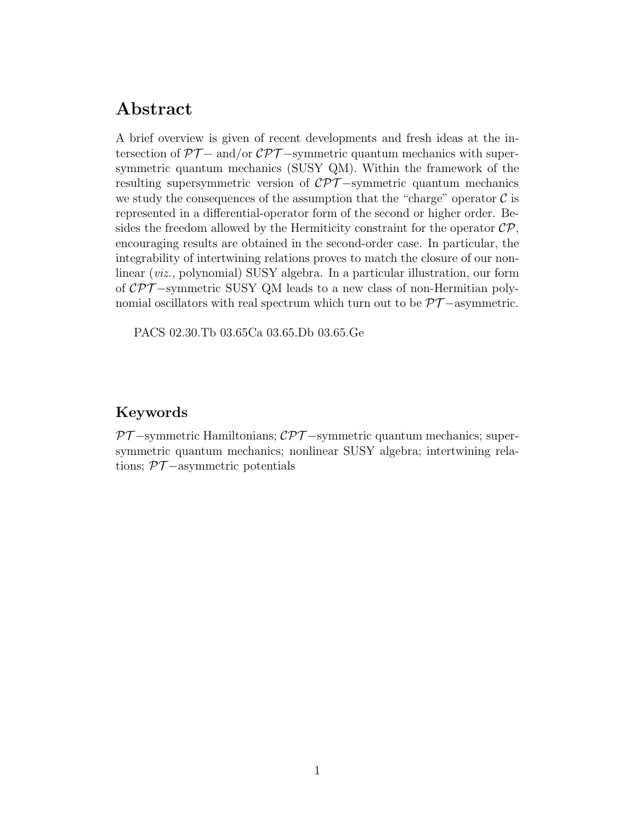# Abstract

A brief overview is given of recent developments and fresh ideas at the intersection of  $PT-$  and/or  $\mathcal{CPT}-$ symmetric quantum mechanics with supersymmetric quantum mechanics (SUSY QM). Within the framework of the resulting supersymmetric version of  $\mathcal{CPT}-symmetric$  quantum mechanics we study the consequences of the assumption that the "charge" operator  $\mathcal C$  is represented in a differential-operator form of the second or higher order. Besides the freedom allowed by the Hermiticity constraint for the operator  $\mathcal{CP}$ , encouraging results are obtained in the second-order case. In particular, the integrability of intertwining relations proves to match the closure of our nonlinear (*viz.,* polynomial) SUSY algebra. In a particular illustration, our form of CPT −symmetric SUSY QM leads to a new class of non-Hermitian polynomial oscillators with real spectrum which turn out to be  $\mathcal{PT}-$ asymmetric.

PACS 02.30.Tb 03.65Ca 03.65.Db 03.65.Ge

# Keywords

 $PT$ -symmetric Hamiltonians;  $\mathcal{CPT}$ -symmetric quantum mechanics; supersymmetric quantum mechanics; nonlinear SUSY algebra; intertwining relations;  $\mathcal{PT}-$ asymmetric potentials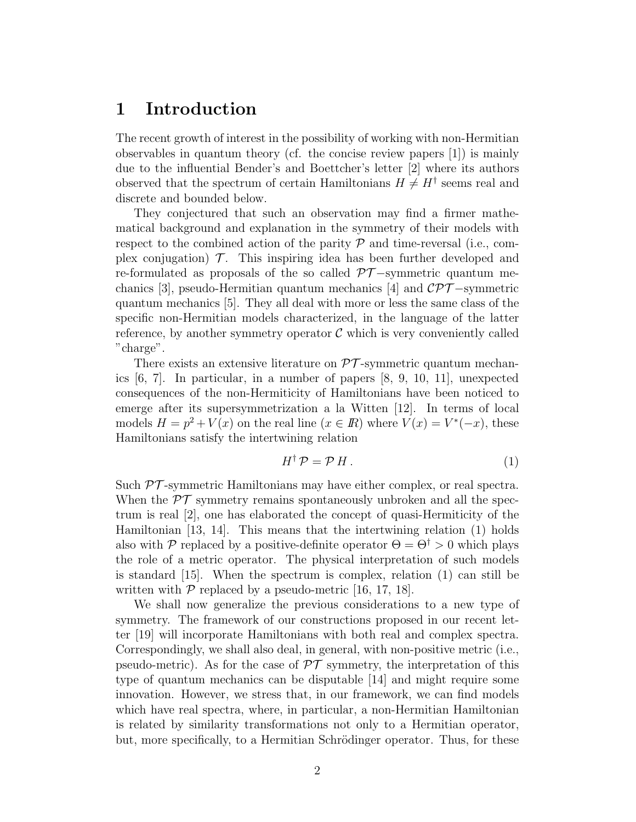# 1 Introduction

The recent growth of interest in the possibility of working with non-Hermitian observables in quantum theory (cf. the concise review papers [1]) is mainly due to the influential Bender's and Boettcher's letter [2] where its authors observed that the spectrum of certain Hamiltonians  $H \neq H^{\dagger}$  seems real and discrete and bounded below.

They conjectured that such an observation may find a firmer mathematical background and explanation in the symmetry of their models with respect to the combined action of the parity  $P$  and time-reversal (i.e., complex conjugation)  $\mathcal T$ . This inspiring idea has been further developed and re-formulated as proposals of the so called  $\mathcal{PT}-symmetric$  quantum mechanics [3], pseudo-Hermitian quantum mechanics [4] and  $\mathcal{CPT}-symmetric$ quantum mechanics [5]. They all deal with more or less the same class of the specific non-Hermitian models characterized, in the language of the latter reference, by another symmetry operator  $\mathcal C$  which is very conveniently called "charge".

There exists an extensive literature on  $\mathcal{PT}$ -symmetric quantum mechanics [6, 7]. In particular, in a number of papers [8, 9, 10, 11], unexpected consequences of the non-Hermiticity of Hamiltonians have been noticed to emerge after its supersymmetrization a la Witten [12]. In terms of local models  $H = p^2 + V(x)$  on the real line  $(x \in \mathbb{R})$  where  $V(x) = V^*(-x)$ , these Hamiltonians satisfy the intertwining relation

$$
H^{\dagger} \mathcal{P} = \mathcal{P} H. \tag{1}
$$

Such  $PT$ -symmetric Hamiltonians may have either complex, or real spectra. When the  $\mathcal{PT}$  symmetry remains spontaneously unbroken and all the spectrum is real [2], one has elaborated the concept of quasi-Hermiticity of the Hamiltonian [13, 14]. This means that the intertwining relation (1) holds also with P replaced by a positive-definite operator  $\Theta = \Theta^{\dagger} > 0$  which plays the role of a metric operator. The physical interpretation of such models is standard [15]. When the spectrum is complex, relation (1) can still be written with  $P$  replaced by a pseudo-metric [16, 17, 18].

We shall now generalize the previous considerations to a new type of symmetry. The framework of our constructions proposed in our recent letter [19] will incorporate Hamiltonians with both real and complex spectra. Correspondingly, we shall also deal, in general, with non-positive metric (i.e., pseudo-metric). As for the case of  $\mathcal{PT}$  symmetry, the interpretation of this type of quantum mechanics can be disputable [14] and might require some innovation. However, we stress that, in our framework, we can find models which have real spectra, where, in particular, a non-Hermitian Hamiltonian is related by similarity transformations not only to a Hermitian operator, but, more specifically, to a Hermitian Schrödinger operator. Thus, for these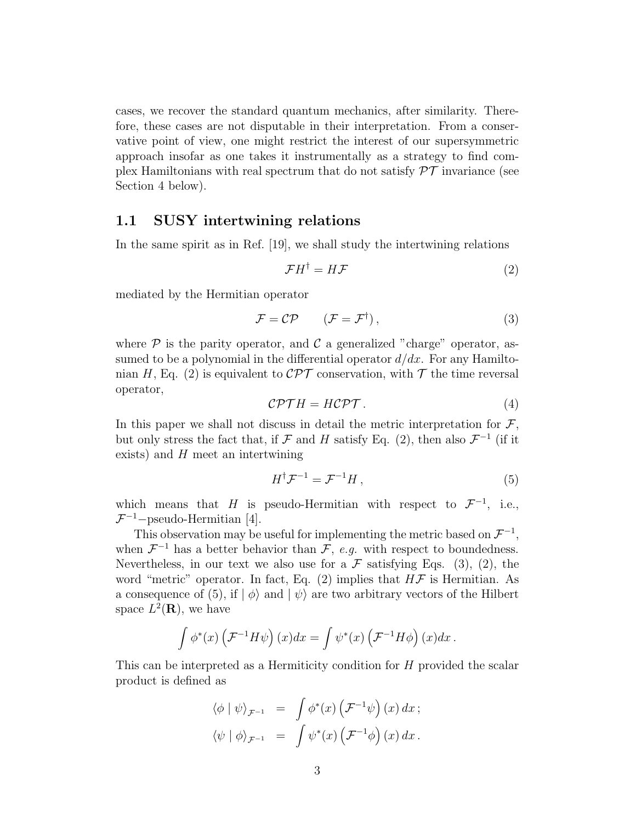cases, we recover the standard quantum mechanics, after similarity. Therefore, these cases are not disputable in their interpretation. From a conservative point of view, one might restrict the interest of our supersymmetric approach insofar as one takes it instrumentally as a strategy to find complex Hamiltonians with real spectrum that do not satisfy  $\mathcal{PT}$  invariance (see Section 4 below).

### 1.1 SUSY intertwining relations

In the same spirit as in Ref. [19], we shall study the intertwining relations

$$
\mathcal{F}H^{\dagger} = H\mathcal{F} \tag{2}
$$

mediated by the Hermitian operator

$$
\mathcal{F} = \mathcal{CP} \qquad (\mathcal{F} = \mathcal{F}^{\dagger}), \qquad (3)
$$

where  $P$  is the parity operator, and  $C$  a generalized "charge" operator, assumed to be a polynomial in the differential operator  $d/dx$ . For any Hamiltonian H, Eq. (2) is equivalent to  $\mathcal{CPT}$  conservation, with T the time reversal operator,

$$
\mathcal{CPTH} = H\mathcal{CPT}.
$$
 (4)

In this paper we shall not discuss in detail the metric interpretation for  $\mathcal{F}$ , but only stress the fact that, if  $\mathcal F$  and  $H$  satisfy Eq. (2), then also  $\mathcal F^{-1}$  (if it exists) and  $H$  meet an intertwining

$$
H^{\dagger} \mathcal{F}^{-1} = \mathcal{F}^{-1} H \,, \tag{5}
$$

which means that H is pseudo-Hermitian with respect to  $\mathcal{F}^{-1}$ , i.e.,  $\mathcal{F}^{-1}$ -pseudo-Hermitian [4].

This observation may be useful for implementing the metric based on  $\mathcal{F}^{-1}$ , when  $\mathcal{F}^{-1}$  has a better behavior than  $\mathcal{F}$ , *e.g.* with respect to boundedness. Nevertheless, in our text we also use for a  $\mathcal F$  satisfying Eqs. (3), (2), the word "metric" operator. In fact, Eq.  $(2)$  implies that  $H\mathcal{F}$  is Hermitian. As a consequence of (5), if  $|\phi\rangle$  and  $|\psi\rangle$  are two arbitrary vectors of the Hilbert space  $L^2(\mathbf{R})$ , we have

$$
\int \phi^*(x) \left( \mathcal{F}^{-1} H \psi \right) (x) dx = \int \psi^*(x) \left( \mathcal{F}^{-1} H \phi \right) (x) dx.
$$

This can be interpreted as a Hermiticity condition for H provided the scalar product is defined as

$$
\langle \phi | \psi \rangle_{\mathcal{F}^{-1}} = \int \phi^*(x) \left( \mathcal{F}^{-1} \psi \right) (x) dx ;
$$
  

$$
\langle \psi | \phi \rangle_{\mathcal{F}^{-1}} = \int \psi^*(x) \left( \mathcal{F}^{-1} \phi \right) (x) dx .
$$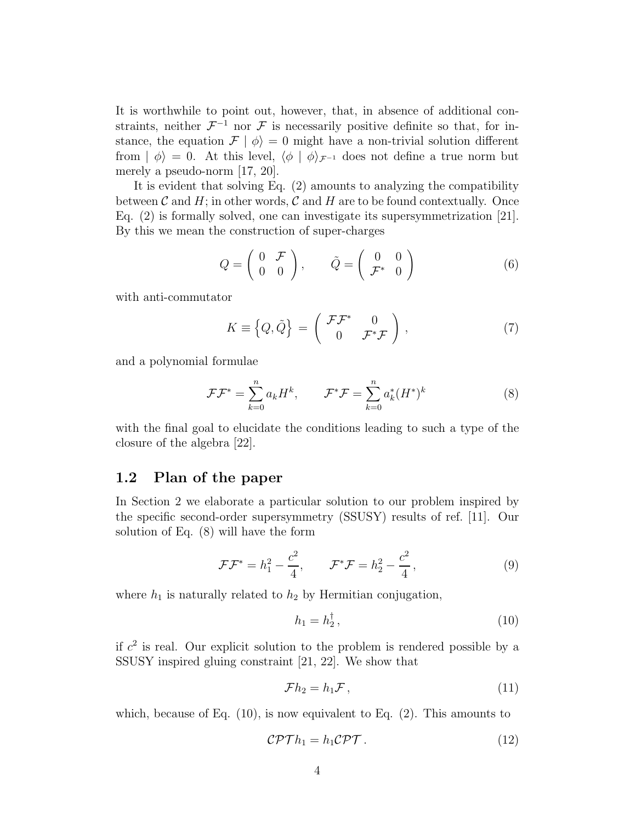It is worthwhile to point out, however, that, in absence of additional constraints, neither  $\mathcal{F}^{-1}$  nor  $\mathcal F$  is necessarily positive definite so that, for instance, the equation  $\mathcal{F} | \phi \rangle = 0$  might have a non-trivial solution different from  $|\phi\rangle = 0$ . At this level,  $\langle \phi | \phi \rangle_{\mathcal{F}^{-1}}$  does not define a true norm but merely a pseudo-norm [17, 20].

It is evident that solving Eq. (2) amounts to analyzing the compatibility between  $\mathcal C$  and  $H$ ; in other words,  $\mathcal C$  and  $H$  are to be found contextually. Once Eq. (2) is formally solved, one can investigate its supersymmetrization [21]. By this we mean the construction of super-charges

$$
Q = \left(\begin{array}{cc} 0 & \mathcal{F} \\ 0 & 0 \end{array}\right), \qquad \tilde{Q} = \left(\begin{array}{cc} 0 & 0 \\ \mathcal{F}^* & 0 \end{array}\right) \tag{6}
$$

with anti-commutator

$$
K \equiv \left\{ Q, \tilde{Q} \right\} = \begin{pmatrix} \mathcal{F} \mathcal{F}^* & 0 \\ 0 & \mathcal{F}^* \mathcal{F} \end{pmatrix}, \tag{7}
$$

and a polynomial formulae

$$
\mathcal{F}\mathcal{F}^* = \sum_{k=0}^n a_k H^k, \qquad \mathcal{F}^*\mathcal{F} = \sum_{k=0}^n a_k^*(H^*)^k \tag{8}
$$

with the final goal to elucidate the conditions leading to such a type of the closure of the algebra [22].

### 1.2 Plan of the paper

In Section 2 we elaborate a particular solution to our problem inspired by the specific second-order supersymmetry (SSUSY) results of ref. [11]. Our solution of Eq. (8) will have the form

$$
\mathcal{F}\mathcal{F}^* = h_1^2 - \frac{c^2}{4}, \qquad \mathcal{F}^*\mathcal{F} = h_2^2 - \frac{c^2}{4}, \qquad (9)
$$

where  $h_1$  is naturally related to  $h_2$  by Hermitian conjugation,

$$
h_1 = h_2^{\dagger}, \tag{10}
$$

if  $c<sup>2</sup>$  is real. Our explicit solution to the problem is rendered possible by a SSUSY inspired gluing constraint [21, 22]. We show that

$$
\mathcal{F}h_2 = h_1 \mathcal{F},\tag{11}
$$

which, because of Eq.  $(10)$ , is now equivalent to Eq.  $(2)$ . This amounts to

$$
\mathcal{CPT}h_1 = h_1 \mathcal{CPT} \,. \tag{12}
$$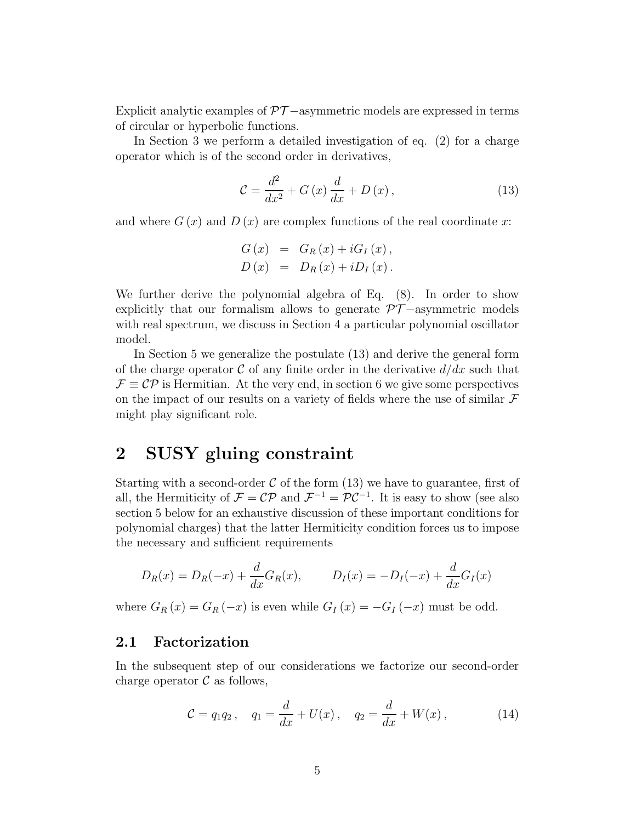Explicit analytic examples of  $\mathcal{PT}-$ asymmetric models are expressed in terms of circular or hyperbolic functions.

In Section 3 we perform a detailed investigation of eq. (2) for a charge operator which is of the second order in derivatives,

$$
\mathcal{C} = \frac{d^2}{dx^2} + G\left(x\right)\frac{d}{dx} + D\left(x\right),\tag{13}
$$

and where  $G(x)$  and  $D(x)$  are complex functions of the real coordinate x:

$$
G(x) = G_R(x) + iG_I(x),
$$
  

$$
D(x) = D_R(x) + iD_I(x).
$$

We further derive the polynomial algebra of Eq.  $(8)$ . In order to show explicitly that our formalism allows to generate  $\mathcal{PT}-$ -asymmetric models with real spectrum, we discuss in Section 4 a particular polynomial oscillator model.

In Section 5 we generalize the postulate (13) and derive the general form of the charge operator C of any finite order in the derivative  $d/dx$  such that  $\mathcal{F} \equiv \mathcal{CP}$  is Hermitian. At the very end, in section 6 we give some perspectives on the impact of our results on a variety of fields where the use of similar  $\mathcal F$ might play significant role.

# 2 SUSY gluing constraint

Starting with a second-order  $\mathcal C$  of the form (13) we have to guarantee, first of all, the Hermiticity of  $\mathcal{F} = \mathcal{CP}$  and  $\mathcal{F}^{-1} = \mathcal{PC}^{-1}$ . It is easy to show (see also section 5 below for an exhaustive discussion of these important conditions for polynomial charges) that the latter Hermiticity condition forces us to impose the necessary and sufficient requirements

$$
D_R(x) = D_R(-x) + \frac{d}{dx}G_R(x)
$$
,  $D_I(x) = -D_I(-x) + \frac{d}{dx}G_I(x)$ 

where  $G_R(x) = G_R(-x)$  is even while  $G_I(x) = -G_I(-x)$  must be odd.

### 2.1 Factorization

In the subsequent step of our considerations we factorize our second-order charge operator  $\mathcal C$  as follows,

$$
C = q_1 q_2, \quad q_1 = \frac{d}{dx} + U(x), \quad q_2 = \frac{d}{dx} + W(x), \tag{14}
$$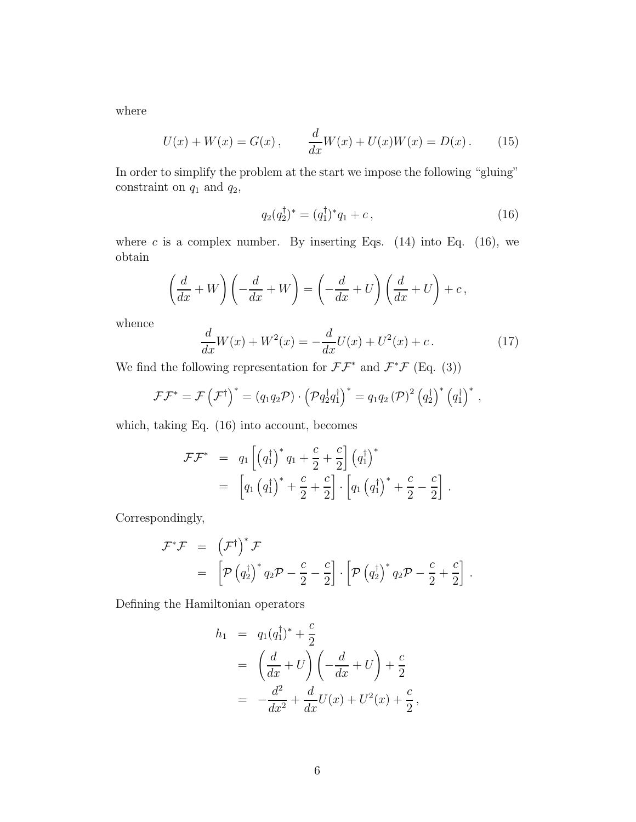where

$$
U(x) + W(x) = G(x), \qquad \frac{d}{dx}W(x) + U(x)W(x) = D(x). \tag{15}
$$

In order to simplify the problem at the start we impose the following "gluing" constraint on  $q_1$  and  $q_2$ ,

$$
q_2(q_2^{\dagger})^* = (q_1^{\dagger})^* q_1 + c, \qquad (16)
$$

where c is a complex number. By inserting Eqs.  $(14)$  into Eq.  $(16)$ , we obtain

$$
\left(\frac{d}{dx} + W\right)\left(-\frac{d}{dx} + W\right) = \left(-\frac{d}{dx} + U\right)\left(\frac{d}{dx} + U\right) + c,
$$

whence

$$
\frac{d}{dx}W(x) + W^{2}(x) = -\frac{d}{dx}U(x) + U^{2}(x) + c.
$$
 (17)

We find the following representation for  $\mathcal{F}\mathcal{F}^*$  and  $\mathcal{F}^*\mathcal{F}$  (Eq. (3))

$$
\mathcal{F}\mathcal{F}^* = \mathcal{F}(\mathcal{F}^{\dagger})^* = (q_1q_2\mathcal{P}) \cdot (\mathcal{P}q_2^{\dagger}q_1^{\dagger})^* = q_1q_2 (\mathcal{P})^2 (q_2^{\dagger})^* (q_1^{\dagger})^*,
$$

which, taking Eq. (16) into account, becomes

$$
\mathcal{F}\mathcal{F}^* = q_1 \left[ \left( q_1^{\dagger} \right)^* q_1 + \frac{c}{2} + \frac{c}{2} \right] \left( q_1^{\dagger} \right)^* \n= \left[ q_1 \left( q_1^{\dagger} \right)^* + \frac{c}{2} + \frac{c}{2} \right] \cdot \left[ q_1 \left( q_1^{\dagger} \right)^* + \frac{c}{2} - \frac{c}{2} \right].
$$

Correspondingly,

$$
\mathcal{F}^*\mathcal{F} = (\mathcal{F}^{\dagger})^*\mathcal{F}
$$
  
=  $\left[\mathcal{P}(q_2^{\dagger})^* q_2 \mathcal{P} - \frac{c}{2} - \frac{c}{2}\right] \cdot \left[\mathcal{P}(q_2^{\dagger})^* q_2 \mathcal{P} - \frac{c}{2} + \frac{c}{2}\right].$ 

Defining the Hamiltonian operators

$$
h_1 = q_1(q_1^{\dagger})^* + \frac{c}{2}
$$
  
=  $\left(\frac{d}{dx} + U\right) \left(-\frac{d}{dx} + U\right) + \frac{c}{2}$   
=  $-\frac{d^2}{dx^2} + \frac{d}{dx}U(x) + U^2(x) + \frac{c}{2}$ ,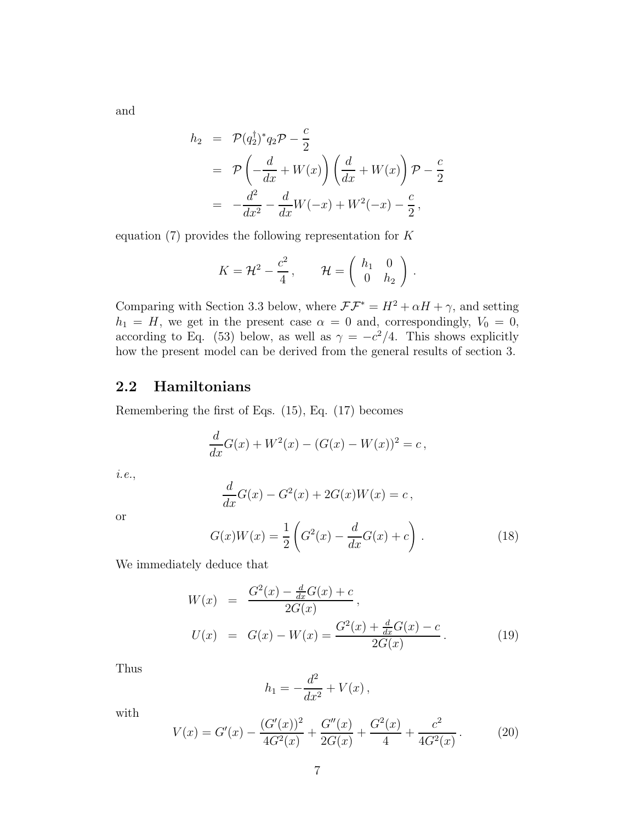and

$$
h_2 = \mathcal{P}(q_2^{\dagger})^* q_2 \mathcal{P} - \frac{c}{2}
$$
  
= 
$$
\mathcal{P}\left(-\frac{d}{dx} + W(x)\right) \left(\frac{d}{dx} + W(x)\right) \mathcal{P} - \frac{c}{2}
$$
  
= 
$$
-\frac{d^2}{dx^2} - \frac{d}{dx}W(-x) + W^2(-x) - \frac{c}{2},
$$

equation  $(7)$  provides the following representation for K

$$
K = \mathcal{H}^2 - \frac{c^2}{4}, \qquad \mathcal{H} = \left( \begin{array}{cc} h_1 & 0 \\ 0 & h_2 \end{array} \right).
$$

Comparing with Section 3.3 below, where  $\mathcal{F}\mathcal{F}^* = H^2 + \alpha H + \gamma$ , and setting  $h_1 = H$ , we get in the present case  $\alpha = 0$  and, correspondingly,  $V_0 = 0$ , according to Eq. (53) below, as well as  $\gamma = -c^2/4$ . This shows explicitly how the present model can be derived from the general results of section 3.

# 2.2 Hamiltonians

Remembering the first of Eqs. (15), Eq. (17) becomes

$$
\frac{d}{dx}G(x) + W^{2}(x) - (G(x) - W(x))^{2} = c,
$$

*i.e.*,

$$
\frac{d}{dx}G(x) - G2(x) + 2G(x)W(x) = c,
$$

or

$$
G(x)W(x) = \frac{1}{2} \left( G^2(x) - \frac{d}{dx}G(x) + c \right).
$$
 (18)

We immediately deduce that

$$
W(x) = \frac{G^2(x) - \frac{d}{dx}G(x) + c}{2G(x)},
$$
  
\n
$$
U(x) = G(x) - W(x) = \frac{G^2(x) + \frac{d}{dx}G(x) - c}{2G(x)}.
$$
\n(19)

Thus

$$
h_1 = -\frac{d^2}{dx^2} + V(x) \,,
$$

with

$$
V(x) = G'(x) - \frac{(G'(x))^2}{4G^2(x)} + \frac{G''(x)}{2G(x)} + \frac{G^2(x)}{4} + \frac{c^2}{4G^2(x)}.
$$
 (20)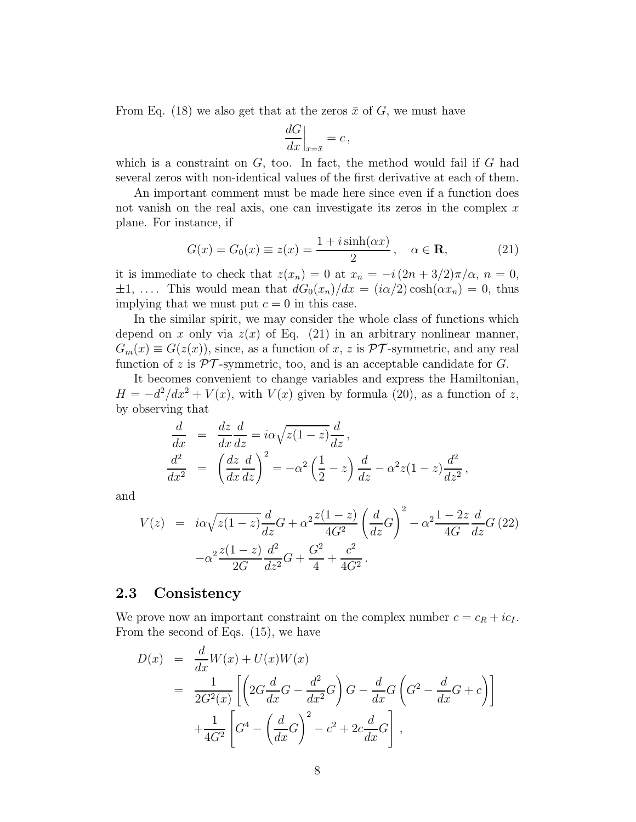From Eq. (18) we also get that at the zeros  $\bar{x}$  of G, we must have

$$
\left. \frac{dG}{dx} \right|_{x=\bar{x}} = c \,,
$$

which is a constraint on  $G$ , too. In fact, the method would fail if  $G$  had several zeros with non-identical values of the first derivative at each of them.

An important comment must be made here since even if a function does not vanish on the real axis, one can investigate its zeros in the complex  $x$ plane. For instance, if

$$
G(x) = G_0(x) \equiv z(x) = \frac{1 + i \sinh(\alpha x)}{2}, \quad \alpha \in \mathbf{R}, \tag{21}
$$

it is immediate to check that  $z(x_n) = 0$  at  $x_n = -i(2n + 3/2)\pi/\alpha$ ,  $n = 0$ ,  $\pm 1, \ldots$ . This would mean that  $dG_0(x_n)/dx = (i\alpha/2) \cosh(\alpha x_n) = 0$ , thus implying that we must put  $c = 0$  in this case.

In the similar spirit, we may consider the whole class of functions which depend on x only via  $z(x)$  of Eq. (21) in an arbitrary nonlinear manner,  $G_m(x) \equiv G(z(x))$ , since, as a function of x, z is PT-symmetric, and any real function of z is  $\mathcal{PT}$ -symmetric, too, and is an acceptable candidate for G.

It becomes convenient to change variables and express the Hamiltonian,  $H = -d^2/dx^2 + V(x)$ , with  $V(x)$  given by formula (20), as a function of z, by observing that

$$
\frac{d}{dx} = \frac{dz}{dx}\frac{d}{dz} = i\alpha\sqrt{z(1-z)}\frac{d}{dz},
$$
\n
$$
\frac{d^2}{dx^2} = \left(\frac{dz}{dx}\frac{d}{dz}\right)^2 = -\alpha^2\left(\frac{1}{2} - z\right)\frac{d}{dz} - \alpha^2z(1-z)\frac{d^2}{dz^2},
$$

and

$$
V(z) = i\alpha \sqrt{z(1-z)} \frac{d}{dz} G + \alpha^2 \frac{z(1-z)}{4G^2} \left(\frac{d}{dz} G\right)^2 - \alpha^2 \frac{1-2z}{4G} \frac{d}{dz} G (22)
$$

$$
-\alpha^2 \frac{z(1-z)}{2G} \frac{d^2}{dz^2} G + \frac{G^2}{4} + \frac{c^2}{4G^2}.
$$

### 2.3 Consistency

We prove now an important constraint on the complex number  $c = c_R + ic_I$ . From the second of Eqs. (15), we have

$$
D(x) = \frac{d}{dx}W(x) + U(x)W(x)
$$
  
= 
$$
\frac{1}{2G^2(x)} \left[ \left( 2G\frac{d}{dx}G - \frac{d^2}{dx^2}G \right)G - \frac{d}{dx}G\left(G^2 - \frac{d}{dx}G + c\right) \right]
$$
  
+ 
$$
\frac{1}{4G^2} \left[ G^4 - \left(\frac{d}{dx}G\right)^2 - c^2 + 2c\frac{d}{dx}G \right],
$$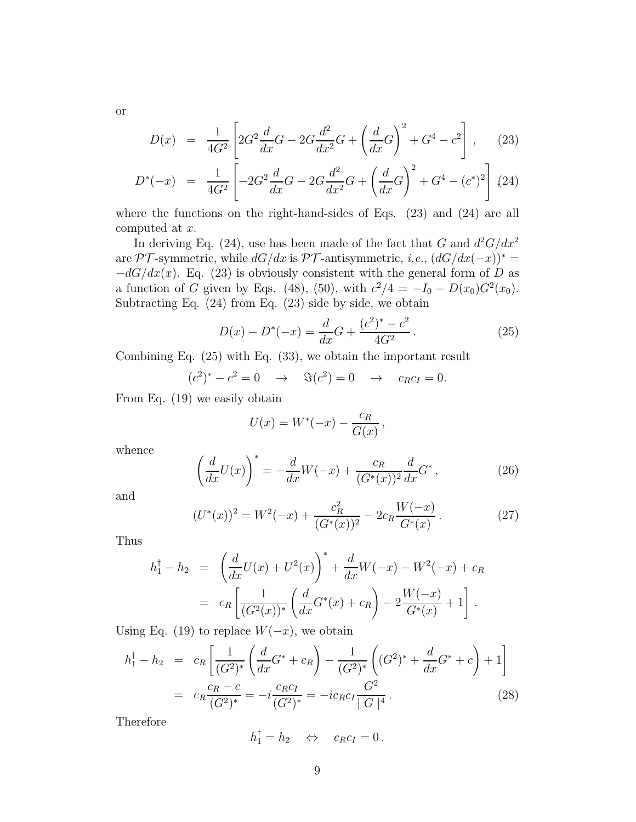$$
D(x) = \frac{1}{4G^2} \left[ 2G^2 \frac{d}{dx} G - 2G \frac{d^2}{dx^2} G + \left( \frac{d}{dx} G \right)^2 + G^4 - c^2 \right], \quad (23)
$$

$$
D^*(-x) = \frac{1}{4G^2} \left[ -2G^2 \frac{d}{dx} G - 2G \frac{d^2}{dx^2} G + \left( \frac{d}{dx} G \right)^2 + G^4 - (c^*)^2 \right] (24)
$$

where the functions on the right-hand-sides of Eqs. (23) and (24) are all computed at x.

In deriving Eq. (24), use has been made of the fact that G and  $d^2G/dx^2$ are PT-symmetric, while  $dG/dx$  is PT-antisymmetric, *i.e.*,  $(dG/dx(-x))^* =$  $-dG/dx(x)$ . Eq. (23) is obviously consistent with the general form of D as a function of G given by Eqs. (48), (50), with  $c^2/4 = -I_0 - D(x_0)G^2(x_0)$ . Subtracting Eq. (24) from Eq. (23) side by side, we obtain

$$
D(x) - D^*(-x) = \frac{d}{dx}G + \frac{(c^2)^* - c^2}{4G^2}.
$$
 (25)

Combining Eq. (25) with Eq. (33), we obtain the important result

$$
(c^2)^* - c^2 = 0 \rightarrow \Im(c^2) = 0 \rightarrow c_R c_I = 0.
$$

From Eq. (19) we easily obtain

$$
U(x) = W^*(-x) - \frac{c_R}{G(x)},
$$

whence

$$
\left(\frac{d}{dx}U(x)\right)^* = -\frac{d}{dx}W(-x) + \frac{c_R}{(G^*(x))^2}\frac{d}{dx}G^*,
$$
\n(26)

and

$$
(U^*(x))^2 = W^2(-x) + \frac{c_R^2}{(G^*(x))^2} - 2c_R \frac{W(-x)}{G^*(x)}.
$$
 (27)

Thus

$$
h_1^{\dagger} - h_2 = \left(\frac{d}{dx}U(x) + U^2(x)\right)^* + \frac{d}{dx}W(-x) - W^2(-x) + c_R
$$
  
=  $c_R \left[\frac{1}{(G^2(x))^*} \left(\frac{d}{dx}G^*(x) + c_R\right) - 2\frac{W(-x)}{G^*(x)} + 1\right].$ 

Using Eq. (19) to replace  $W(-x)$ , we obtain

$$
h_1^{\dagger} - h_2 = c_R \left[ \frac{1}{(G^2)^*} \left( \frac{d}{dx} G^* + c_R \right) - \frac{1}{(G^2)^*} \left( (G^2)^* + \frac{d}{dx} G^* + c \right) + 1 \right]
$$
  
=  $c_R \frac{c_R - c}{(G^2)^*} = -i \frac{c_R c_I}{(G^2)^*} = -i c_R c_I \frac{G^2}{|G|^4}.$  (28)

Therefore

$$
h_1^{\dagger} = h_2 \quad \Leftrightarrow \quad c_R c_I = 0 \, .
$$

9

or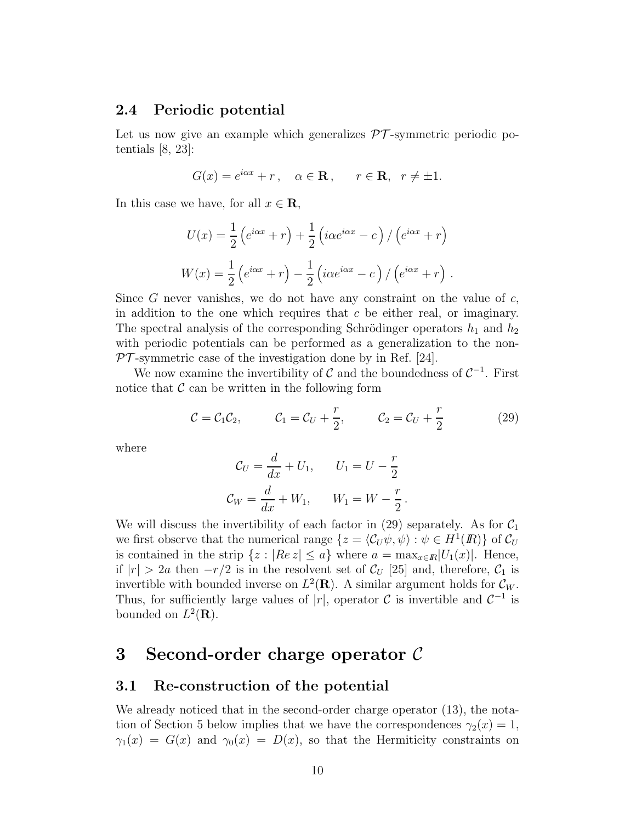### 2.4 Periodic potential

Let us now give an example which generalizes  $\mathcal{PT}$ -symmetric periodic potentials [8, 23]:

$$
G(x) = e^{i\alpha x} + r, \quad \alpha \in \mathbf{R}, \quad r \in \mathbf{R}, \quad r \neq \pm 1.
$$

In this case we have, for all  $x \in \mathbf{R}$ ,

$$
U(x) = \frac{1}{2} \left( e^{i\alpha x} + r \right) + \frac{1}{2} \left( i\alpha e^{i\alpha x} - c \right) / \left( e^{i\alpha x} + r \right)
$$

$$
W(x) = \frac{1}{2} \left( e^{i\alpha x} + r \right) - \frac{1}{2} \left( i\alpha e^{i\alpha x} - c \right) / \left( e^{i\alpha x} + r \right).
$$

Since G never vanishes, we do not have any constraint on the value of  $c$ , in addition to the one which requires that  $c$  be either real, or imaginary. The spectral analysis of the corresponding Schrödinger operators  $h_1$  and  $h_2$ with periodic potentials can be performed as a generalization to the non- $PT$ -symmetric case of the investigation done by in Ref. [24].

We now examine the invertibility of  $\mathcal C$  and the boundedness of  $\mathcal C^{-1}$ . First notice that  $\mathcal C$  can be written in the following form

$$
C = C_1 C_2, \qquad C_1 = C_U + \frac{r}{2}, \qquad C_2 = C_U + \frac{r}{2}
$$
 (29)

where

$$
\mathcal{C}_U = \frac{d}{dx} + U_1, \qquad U_1 = U - \frac{r}{2}
$$

$$
\mathcal{C}_W = \frac{d}{dx} + W_1, \qquad W_1 = W - \frac{r}{2}.
$$

We will discuss the invertibility of each factor in (29) separately. As for  $C_1$ we first observe that the numerical range  $\{z = \langle C_U \psi, \psi \rangle : \psi \in H^1(\mathbb{R})\}$  of  $C_U$ is contained in the strip  $\{z : |Re\ z| \leq a\}$  where  $a = \max_{x \in \mathbb{R}} |U_1(x)|$ . Hence, if  $|r| > 2a$  then  $-r/2$  is in the resolvent set of  $\mathcal{C}_U$  [25] and, therefore,  $\mathcal{C}_1$  is invertible with bounded inverse on  $L^2(\mathbf{R})$ . A similar argument holds for  $\mathcal{C}_W$ . Thus, for sufficiently large values of |r|, operator  $\mathcal C$  is invertible and  $\mathcal C^{-1}$  is bounded on  $L^2(\mathbf{R})$ .

# 3 Second-order charge operator C

### 3.1 Re-construction of the potential

We already noticed that in the second-order charge operator (13), the notation of Section 5 below implies that we have the correspondences  $\gamma_2(x) = 1$ ,  $\gamma_1(x) = G(x)$  and  $\gamma_0(x) = D(x)$ , so that the Hermiticity constraints on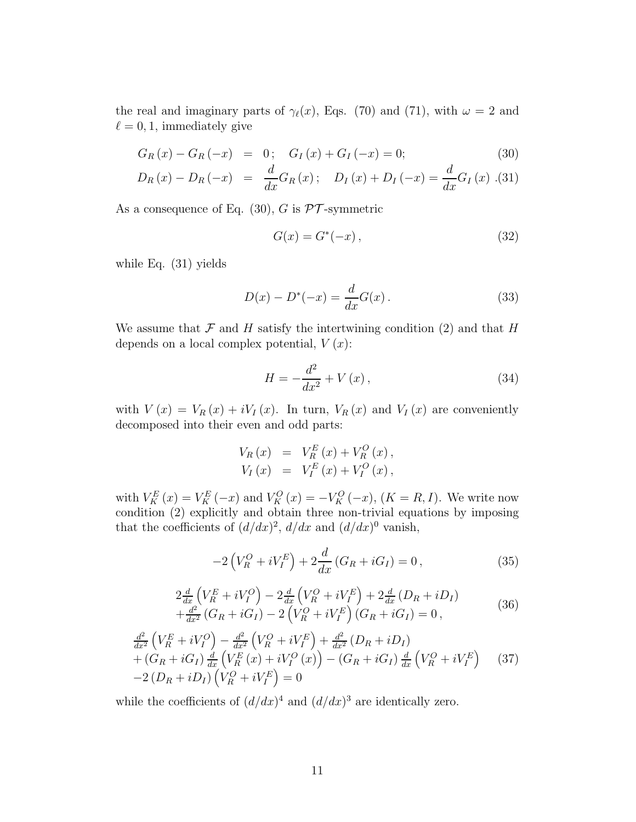the real and imaginary parts of  $\gamma_{\ell}(x)$ , Eqs. (70) and (71), with  $\omega = 2$  and  $\ell = 0, 1$ , immediately give

$$
G_R(x) - G_R(-x) = 0; \quad G_I(x) + G_I(-x) = 0; \tag{30}
$$

$$
D_R(x) - D_R(-x) = \frac{d}{dx} G_R(x); \quad D_I(x) + D_I(-x) = \frac{d}{dx} G_I(x) . (31)
$$

As a consequence of Eq.  $(30)$ , G is  $\mathcal{PT}$ -symmetric

$$
G(x) = G^*(-x),
$$
\n(32)

while Eq. (31) yields

$$
D(x) - D^{*}(-x) = \frac{d}{dx}G(x).
$$
 (33)

We assume that  $\mathcal F$  and  $H$  satisfy the intertwining condition (2) and that  $H$ depends on a local complex potential,  $V(x)$ :

$$
H = -\frac{d^2}{dx^2} + V(x),\tag{34}
$$

with  $V(x) = V_R(x) + iV_I(x)$ . In turn,  $V_R(x)$  and  $V_I(x)$  are conveniently decomposed into their even and odd parts:

$$
V_R(x) = V_R^E(x) + V_R^O(x), V_I(x) = V_I^E(x) + V_I^O(x),
$$

with  $V_K^E(x) = V_K^E(-x)$  and  $V_K^O(x) = -V_K^O(-x)$ ,  $(K = R, I)$ . We write now condition (2) explicitly and obtain three non-trivial equations by imposing that the coefficients of  $(d/dx)^2$ ,  $d/dx$  and  $(d/dx)^0$  vanish,

$$
-2\left(V_R^O + iV_I^E\right) + 2\frac{d}{dx}\left(G_R + iG_I\right) = 0\,,\tag{35}
$$

$$
2\frac{d}{dx}\left(V_R^E + iV_I^O\right) - 2\frac{d}{dx}\left(V_R^O + iV_I^E\right) + 2\frac{d}{dx}\left(D_R + iD_I\right) + \frac{d^2}{dx^2}\left(G_R + iG_I\right) - 2\left(V_R^O + iV_I^E\right)\left(G_R + iG_I\right) = 0,
$$
\n(36)

$$
\frac{d^2}{dx^2} \left( V_R^E + iV_I^O \right) - \frac{d^2}{dx^2} \left( V_R^O + iV_I^E \right) + \frac{d^2}{dx^2} \left( D_R + iD_I \right) \n+ \left( G_R + iG_I \right) \frac{d}{dx} \left( V_R^E \left( x \right) + iV_I^O \left( x \right) \right) - \left( G_R + iG_I \right) \frac{d}{dx} \left( V_R^O + iV_I^E \right) \n- 2 \left( D_R + iD_I \right) \left( V_R^O + iV_I^E \right) = 0
$$
\n(37)

while the coefficients of  $(d/dx)^4$  and  $(d/dx)^3$  are identically zero.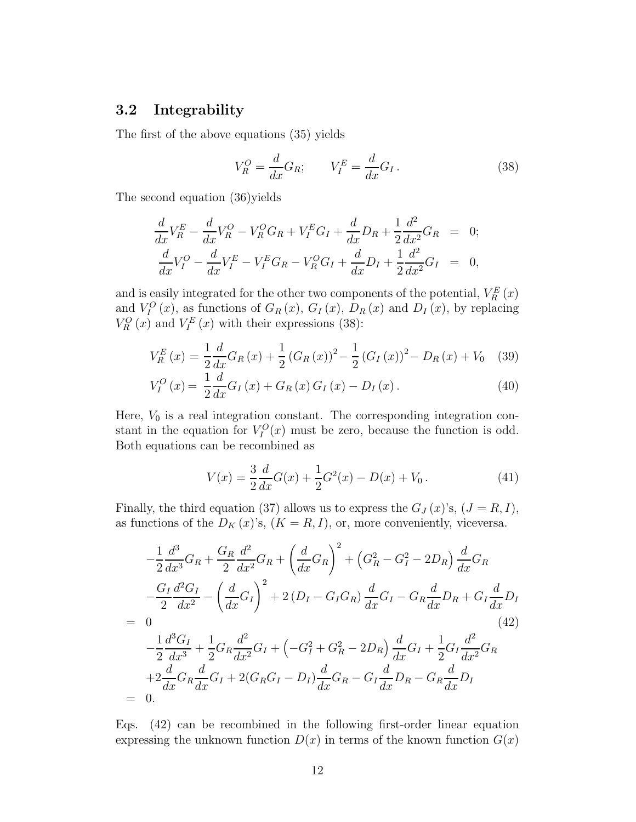# 3.2 Integrability

The first of the above equations (35) yields

$$
V_R^O = \frac{d}{dx} G_R; \qquad V_I^E = \frac{d}{dx} G_I. \tag{38}
$$

The second equation (36)yields

$$
\frac{d}{dx}V_R^E - \frac{d}{dx}V_R^O - V_R^O G_R + V_I^E G_I + \frac{d}{dx}D_R + \frac{1}{2}\frac{d^2}{dx^2}G_R = 0; \n\frac{d}{dx}V_I^O - \frac{d}{dx}V_I^E - V_I^E G_R - V_R^O G_I + \frac{d}{dx}D_I + \frac{1}{2}\frac{d^2}{dx^2}G_I = 0,
$$

and is easily integrated for the other two components of the potential,  $V_R^E(x)$ and  $V_I^O(x)$ , as functions of  $G_R(x)$ ,  $G_I(x)$ ,  $D_R(x)$  and  $D_I(x)$ , by replacing  $V_R^O(x)$  and  $V_I^E(x)$  with their expressions (38):

$$
V_R^E(x) = \frac{1}{2} \frac{d}{dx} G_R(x) + \frac{1}{2} (G_R(x))^2 - \frac{1}{2} (G_I(x))^2 - D_R(x) + V_0 \quad (39)
$$

$$
V_{I}^{O}(x) = \frac{1}{2} \frac{d}{dx} G_{I}(x) + G_{R}(x) G_{I}(x) - D_{I}(x).
$$
 (40)

Here,  $V_0$  is a real integration constant. The corresponding integration constant in the equation for  $V_I^O(x)$  must be zero, because the function is odd. Both equations can be recombined as

$$
V(x) = \frac{3}{2} \frac{d}{dx} G(x) + \frac{1}{2} G^{2}(x) - D(x) + V_{0}.
$$
 (41)

Finally, the third equation (37) allows us to express the  $G_J(x)$ 's,  $(J = R, I)$ , as functions of the  $D_K(x)$ 's,  $(K = R, I)$ , or, more conveniently, viceversa.

$$
-\frac{1}{2}\frac{d^3}{dx^3}G_R + \frac{G_R}{2}\frac{d^2}{dx^2}G_R + \left(\frac{d}{dx}G_R\right)^2 + \left(G_R^2 - G_I^2 - 2D_R\right)\frac{d}{dx}G_R
$$
  
\n
$$
-\frac{G_I}{2}\frac{d^2G_I}{dx^2} - \left(\frac{d}{dx}G_I\right)^2 + 2\left(D_I - G_I G_R\right)\frac{d}{dx}G_I - G_R\frac{d}{dx}D_R + G_I\frac{d}{dx}D_I
$$
  
\n= 0 (42)  
\n
$$
-\frac{1}{2}\frac{d^3G_I}{dx^3} + \frac{1}{2}G_R\frac{d^2}{dx^2}G_I + \left(-G_I^2 + G_R^2 - 2D_R\right)\frac{d}{dx}G_I + \frac{1}{2}G_I\frac{d^2}{dx^2}G_R
$$
  
\n
$$
+ 2\frac{d}{dx}G_R\frac{d}{dx}G_I + 2(G_RG_I - D_I)\frac{d}{dx}G_R - G_I\frac{d}{dx}D_R - G_R\frac{d}{dx}D_I
$$
  
\n= 0.

Eqs. (42) can be recombined in the following first-order linear equation expressing the unknown function  $D(x)$  in terms of the known function  $G(x)$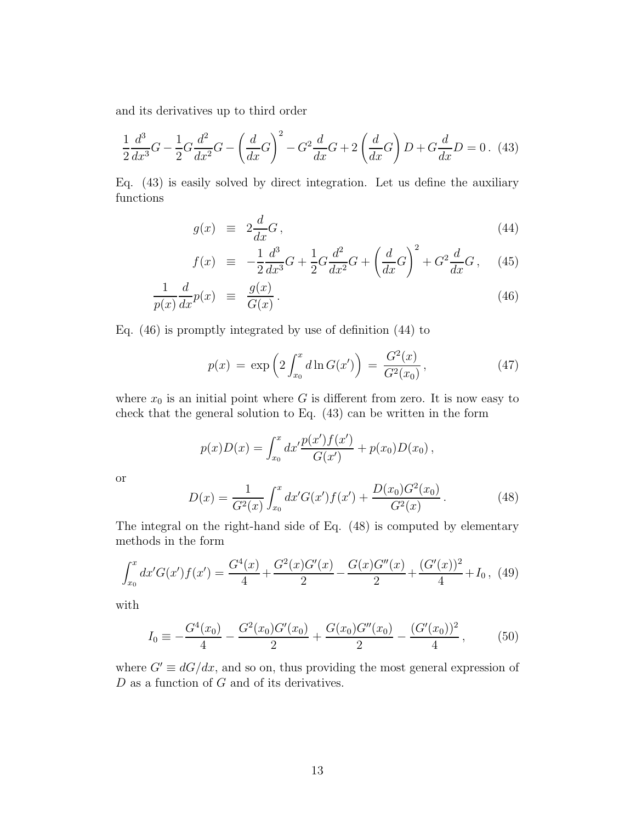and its derivatives up to third order

$$
\frac{1}{2}\frac{d^3}{dx^3}G - \frac{1}{2}G\frac{d^2}{dx^2}G - \left(\frac{d}{dx}G\right)^2 - G^2\frac{d}{dx}G + 2\left(\frac{d}{dx}G\right)D + G\frac{d}{dx}D = 0.
$$
 (43)

Eq. (43) is easily solved by direct integration. Let us define the auxiliary functions

$$
g(x) \equiv 2\frac{d}{dx}G\,,\tag{44}
$$

$$
f(x) \equiv -\frac{1}{2}\frac{d^3}{dx^3}G + \frac{1}{2}G\frac{d^2}{dx^2}G + \left(\frac{d}{dx}G\right)^2 + G^2\frac{d}{dx}G\,,\tag{45}
$$

$$
\frac{1}{p(x)}\frac{d}{dx}p(x) \equiv \frac{g(x)}{G(x)}.
$$
\n(46)

Eq. (46) is promptly integrated by use of definition (44) to

$$
p(x) = \exp\left(2 \int_{x_0}^x d\ln G(x')\right) = \frac{G^2(x)}{G^2(x_0)},
$$
\n(47)

where  $x_0$  is an initial point where G is different from zero. It is now easy to check that the general solution to Eq. (43) can be written in the form

$$
p(x)D(x) = \int_{x_0}^x dx' \frac{p(x')f(x')}{G(x')} + p(x_0)D(x_0),
$$

or

$$
D(x) = \frac{1}{G^2(x)} \int_{x_0}^x dx' G(x') f(x') + \frac{D(x_0)G^2(x_0)}{G^2(x)}.
$$
 (48)

The integral on the right-hand side of Eq. (48) is computed by elementary methods in the form

$$
\int_{x_0}^x dx' G(x') f(x') = \frac{G^4(x)}{4} + \frac{G^2(x)G'(x)}{2} - \frac{G(x)G''(x)}{2} + \frac{(G'(x))^2}{4} + I_0, \tag{49}
$$

with

$$
I_0 \equiv -\frac{G^4(x_0)}{4} - \frac{G^2(x_0)G'(x_0)}{2} + \frac{G(x_0)G''(x_0)}{2} - \frac{(G'(x_0))^2}{4},\tag{50}
$$

where  $G' \equiv dG/dx$ , and so on, thus providing the most general expression of  $D$  as a function of  $G$  and of its derivatives.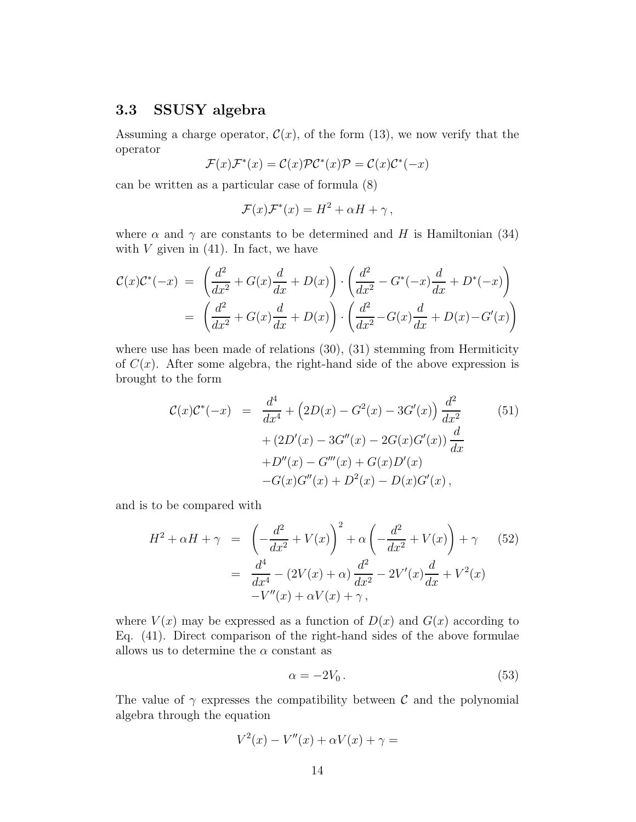### 3.3 SSUSY algebra

Assuming a charge operator,  $\mathcal{C}(x)$ , of the form (13), we now verify that the operator

$$
\mathcal{F}(x)\mathcal{F}^*(x)=\mathcal{C}(x)\mathcal{P}\mathcal{C}^*(x)\mathcal{P}=\mathcal{C}(x)\mathcal{C}^*(-x)
$$

can be written as a particular case of formula (8)

$$
\mathcal{F}(x)\mathcal{F}^*(x) = H^2 + \alpha H + \gamma \,,
$$

where  $\alpha$  and  $\gamma$  are constants to be determined and H is Hamiltonian (34) with  $V$  given in (41). In fact, we have

$$
\mathcal{C}(x)\mathcal{C}^*(-x) = \left(\frac{d^2}{dx^2} + G(x)\frac{d}{dx} + D(x)\right) \cdot \left(\frac{d^2}{dx^2} - G^*(-x)\frac{d}{dx} + D^*(-x)\right)
$$

$$
= \left(\frac{d^2}{dx^2} + G(x)\frac{d}{dx} + D(x)\right) \cdot \left(\frac{d^2}{dx^2} - G(x)\frac{d}{dx} + D(x) - G'(x)\right)
$$

where use has been made of relations  $(30)$ ,  $(31)$  stemming from Hermiticity of  $C(x)$ . After some algebra, the right-hand side of the above expression is brought to the form

$$
\mathcal{C}(x)\mathcal{C}^*(-x) = \frac{d^4}{dx^4} + (2D(x) - G^2(x) - 3G'(x))\frac{d^2}{dx^2} + (2D'(x) - 3G''(x) - 2G(x)G'(x))\frac{d}{dx} + D''(x) - G'''(x) + G(x)D'(x) - G(x)G''(x) + D^2(x) - D(x)G'(x),
$$
\n(51)

and is to be compared with

$$
H^{2} + \alpha H + \gamma = \left( -\frac{d^{2}}{dx^{2}} + V(x) \right)^{2} + \alpha \left( -\frac{d^{2}}{dx^{2}} + V(x) \right) + \gamma \qquad (52)
$$
  
= 
$$
\frac{d^{4}}{dx^{4}} - (2V(x) + \alpha) \frac{d^{2}}{dx^{2}} - 2V'(x) \frac{d}{dx} + V^{2}(x)
$$

$$
-V''(x) + \alpha V(x) + \gamma,
$$

where  $V(x)$  may be expressed as a function of  $D(x)$  and  $G(x)$  according to Eq. (41). Direct comparison of the right-hand sides of the above formulae allows us to determine the  $\alpha$  constant as

$$
\alpha = -2V_0. \tag{53}
$$

The value of  $\gamma$  expresses the compatibility between C and the polynomial algebra through the equation

$$
V^2(x) - V''(x) + \alpha V(x) + \gamma =
$$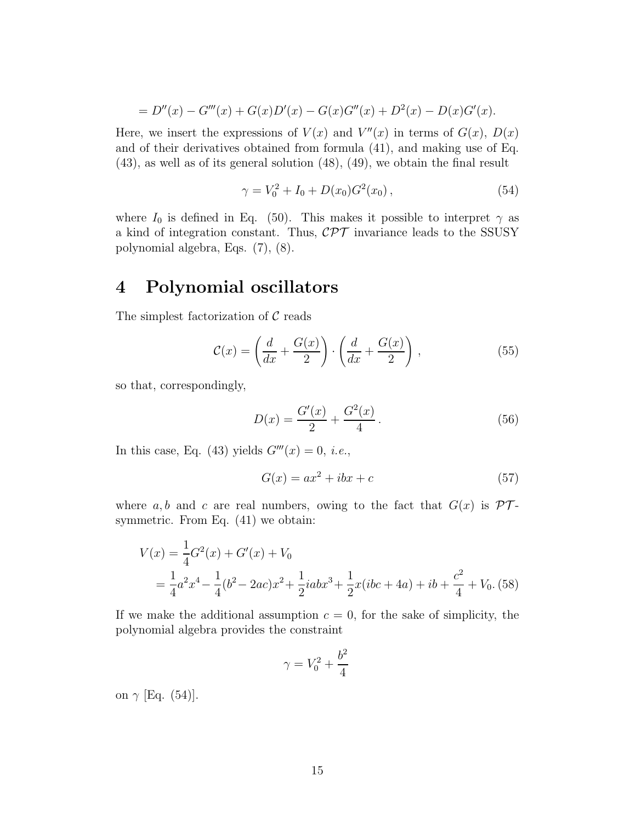$$
= D''(x) - G'''(x) + G(x)D'(x) - G(x)G''(x) + D^{2}(x) - D(x)G'(x).
$$

Here, we insert the expressions of  $V(x)$  and  $V''(x)$  in terms of  $G(x)$ ,  $D(x)$ and of their derivatives obtained from formula (41), and making use of Eq. (43), as well as of its general solution (48), (49), we obtain the final result

$$
\gamma = V_0^2 + I_0 + D(x_0)G^2(x_0), \qquad (54)
$$

where  $I_0$  is defined in Eq. (50). This makes it possible to interpret  $\gamma$  as a kind of integration constant. Thus,  $\mathcal{CPT}$  invariance leads to the SSUSY polynomial algebra, Eqs. (7), (8).

# 4 Polynomial oscillators

The simplest factorization of  $\mathcal C$  reads

$$
\mathcal{C}(x) = \left(\frac{d}{dx} + \frac{G(x)}{2}\right) \cdot \left(\frac{d}{dx} + \frac{G(x)}{2}\right),\tag{55}
$$

so that, correspondingly,

$$
D(x) = \frac{G'(x)}{2} + \frac{G^2(x)}{4}.
$$
\n(56)

In this case, Eq. (43) yields  $G'''(x) = 0$ , *i.e.*,

$$
G(x) = ax^2 + ibx + c \tag{57}
$$

where a, b and c are real numbers, owing to the fact that  $G(x)$  is  $\mathcal{PT}$ symmetric. From Eq.  $(41)$  we obtain:

$$
V(x) = \frac{1}{4}G^{2}(x) + G'(x) + V_{0}
$$
  
=  $\frac{1}{4}a^{2}x^{4} - \frac{1}{4}(b^{2} - 2ac)x^{2} + \frac{1}{2}iabx^{3} + \frac{1}{2}x(ibc + 4a) + ib + \frac{c^{2}}{4} + V_{0}. (58)$ 

If we make the additional assumption  $c = 0$ , for the sake of simplicity, the polynomial algebra provides the constraint

$$
\gamma=V_0^2+\frac{b^2}{4}
$$

on  $\gamma$  [Eq. (54)].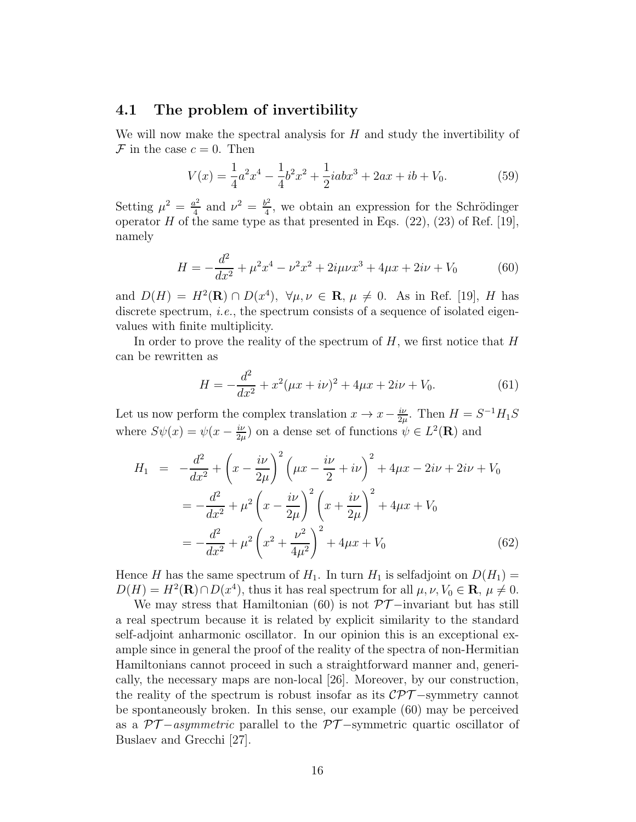### 4.1 The problem of invertibility

We will now make the spectral analysis for  $H$  and study the invertibility of  $\mathcal F$  in the case  $c=0$ . Then

$$
V(x) = \frac{1}{4}a^2x^4 - \frac{1}{4}b^2x^2 + \frac{1}{2}iabx^3 + 2ax + ib + V_0.
$$
 (59)

Setting  $\mu^2 = \frac{a^2}{4}$  $\frac{u^2}{4}$  and  $\nu^2 = \frac{b^2}{4}$  $\frac{d^2}{4}$ , we obtain an expression for the Schrödinger operator  $H$  of the same type as that presented in Eqs. (22), (23) of Ref. [19], namely

$$
H = -\frac{d^2}{dx^2} + \mu^2 x^4 - \nu^2 x^2 + 2i\mu\nu x^3 + 4\mu x + 2i\nu + V_0 \tag{60}
$$

and  $D(H) = H^2(\mathbf{R}) \cap D(x^4)$ ,  $\forall \mu, \nu \in \mathbf{R}, \mu \neq 0$ . As in Ref. [19], H has discrete spectrum, *i.e.*, the spectrum consists of a sequence of isolated eigenvalues with finite multiplicity.

In order to prove the reality of the spectrum of  $H$ , we first notice that  $H$ can be rewritten as

$$
H = -\frac{d^2}{dx^2} + x^2(\mu x + i\nu)^2 + 4\mu x + 2i\nu + V_0.
$$
 (61)

Let us now perform the complex translation  $x \to x - \frac{i\nu}{2\nu}$  $\frac{i\nu}{2\mu}$ . Then  $H = S^{-1}H_1S$ where  $S\psi(x) = \psi(x - \frac{i\nu}{2\nu})$  $\frac{i\nu}{2\mu}$  on a dense set of functions  $\psi \in L^2(\mathbf{R})$  and

$$
H_1 = -\frac{d^2}{dx^2} + \left(x - \frac{i\nu}{2\mu}\right)^2 \left(\mu x - \frac{i\nu}{2} + i\nu\right)^2 + 4\mu x - 2i\nu + 2i\nu + V_0
$$
  

$$
= -\frac{d^2}{dx^2} + \mu^2 \left(x - \frac{i\nu}{2\mu}\right)^2 \left(x + \frac{i\nu}{2\mu}\right)^2 + 4\mu x + V_0
$$
  

$$
= -\frac{d^2}{dx^2} + \mu^2 \left(x^2 + \frac{\nu^2}{4\mu^2}\right)^2 + 4\mu x + V_0
$$
(62)

Hence H has the same spectrum of  $H_1$ . In turn  $H_1$  is selfadjoint on  $D(H_1)$  =  $D(H) = H^2(\mathbf{R}) \cap D(x^4)$ , thus it has real spectrum for all  $\mu, \nu, V_0 \in \mathbf{R}, \mu \neq 0$ .

We may stress that Hamiltonian (60) is not  $\mathcal{PT}-$ invariant but has still a real spectrum because it is related by explicit similarity to the standard self-adjoint anharmonic oscillator. In our opinion this is an exceptional example since in general the proof of the reality of the spectra of non-Hermitian Hamiltonians cannot proceed in such a straightforward manner and, generically, the necessary maps are non-local [26]. Moreover, by our construction, the reality of the spectrum is robust insofar as its  $\mathcal{CPT}-symmetry$  cannot be spontaneously broken. In this sense, our example (60) may be perceived as a  $\mathcal{PT}-asymmetric$  parallel to the  $\mathcal{PT}-symmetric$  quartic oscillator of Buslaev and Grecchi [27].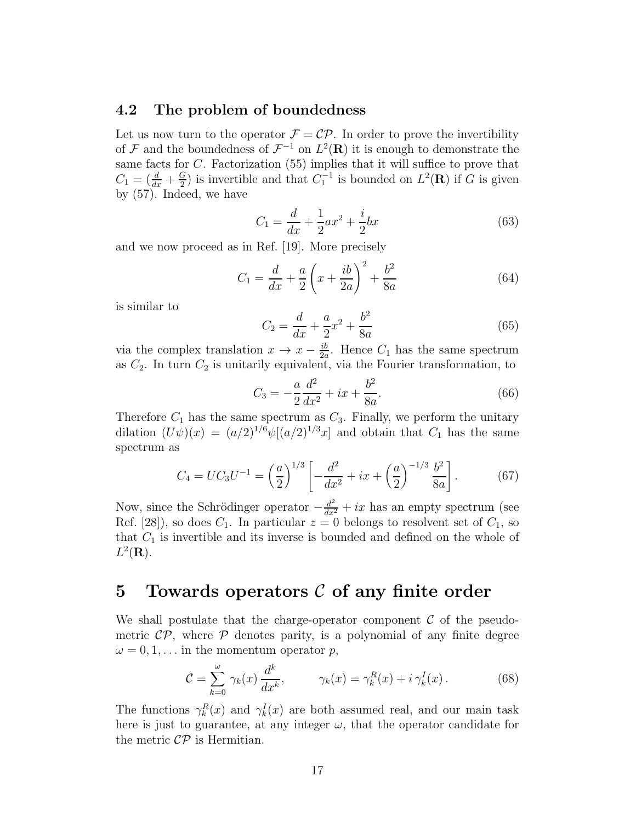### 4.2 The problem of boundedness

Let us now turn to the operator  $\mathcal{F} = \mathcal{CP}$ . In order to prove the invertibility of F and the boundedness of  $\mathcal{F}^{-1}$  on  $L^2(\mathbf{R})$  it is enough to demonstrate the same facts for C. Factorization (55) implies that it will suffice to prove that  $C_1 = \left(\frac{d}{dx} + \frac{G}{2}\right)$  $\frac{G}{2}$ ) is invertible and that  $C_1^{-1}$  is bounded on  $L^2(\mathbf{R})$  if G is given by (57). Indeed, we have

$$
C_1 = \frac{d}{dx} + \frac{1}{2}ax^2 + \frac{i}{2}bx \tag{63}
$$

and we now proceed as in Ref. [19]. More precisely

$$
C_1 = \frac{d}{dx} + \frac{a}{2} \left( x + \frac{ib}{2a} \right)^2 + \frac{b^2}{8a}
$$
 (64)

is similar to

$$
C_2 = \frac{d}{dx} + \frac{a}{2}x^2 + \frac{b^2}{8a} \tag{65}
$$

via the complex translation  $x \to x - \frac{ib}{2a}$  $\frac{ib}{2a}$ . Hence  $C_1$  has the same spectrum as  $C_2$ . In turn  $C_2$  is unitarily equivalent, via the Fourier transformation, to

$$
C_3 = -\frac{a}{2}\frac{d^2}{dx^2} + ix + \frac{b^2}{8a}.
$$
 (66)

Therefore  $C_1$  has the same spectrum as  $C_3$ . Finally, we perform the unitary dilation  $(U\psi)(x) = (a/2)^{1/6}\psi[(a/2)^{1/3}x]$  and obtain that  $C_1$  has the same spectrum as

$$
C_4 = UC_3U^{-1} = \left(\frac{a}{2}\right)^{1/3} \left[ -\frac{d^2}{dx^2} + ix + \left(\frac{a}{2}\right)^{-1/3} \frac{b^2}{8a} \right].
$$
 (67)

Now, since the Schrödinger operator  $-\frac{d^2}{dx^2} + ix$  has an empty spectrum (see Ref. [28]), so does  $C_1$ . In particular  $z = 0$  belongs to resolvent set of  $C_1$ , so that  $C_1$  is invertible and its inverse is bounded and defined on the whole of  $L^2(\mathbf{R})$ .

# 5 Towards operators  $\mathcal C$  of any finite order

We shall postulate that the charge-operator component  $\mathcal C$  of the pseudometric  $\mathcal{CP}$ , where  $\mathcal P$  denotes parity, is a polynomial of any finite degree  $\omega = 0, 1, \ldots$  in the momentum operator p,

$$
\mathcal{C} = \sum_{k=0}^{\omega} \gamma_k(x) \frac{d^k}{dx^k}, \qquad \gamma_k(x) = \gamma_k^R(x) + i \gamma_k^I(x). \tag{68}
$$

The functions  $\gamma_k^R(x)$  and  $\gamma_k^I(x)$  are both assumed real, and our main task here is just to guarantee, at any integer  $\omega$ , that the operator candidate for the metric  $\mathcal{CP}$  is Hermitian.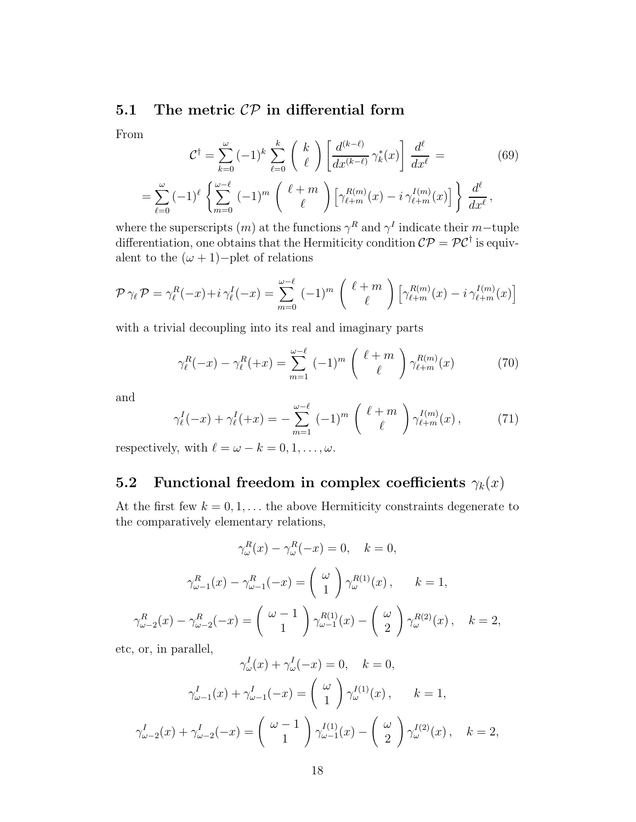# 5.1 The metric  $\mathcal{CP}$  in differential form

From

$$
\mathcal{C}^{\dagger} = \sum_{k=0}^{\omega} (-1)^k \sum_{\ell=0}^k \binom{k}{\ell} \left[ \frac{d^{(k-\ell)}}{dx^{(k-\ell)}} \gamma_k^*(x) \right] \frac{d^{\ell}}{dx^{\ell}} =
$$
\n
$$
= \sum_{\ell=0}^{\omega} (-1)^{\ell} \left\{ \sum_{m=0}^{\omega-\ell} (-1)^m \binom{\ell+m}{\ell} \left[ \gamma_{\ell+m}^{R(m)}(x) - i \gamma_{\ell+m}^{I(m)}(x) \right] \right\} \frac{d^{\ell}}{dx^{\ell}},
$$
\n(69)

where the superscripts  $(m)$  at the functions  $\gamma^R$  and  $\gamma^I$  indicate their m-tuple differentiation, one obtains that the Hermiticity condition  $\mathcal{CP} = \mathcal{PC}^{\dagger}$  is equivalent to the  $(\omega + 1)$ −plet of relations

$$
\mathcal{P}\gamma_{\ell}\mathcal{P}=\gamma_{\ell}^{R}(-x)+i\gamma_{\ell}^{I}(-x)=\sum_{m=0}^{\omega-\ell}(-1)^{m}\left(\begin{array}{c} \ell+m\\ \ell\end{array}\right)\left[\gamma_{\ell+m}^{R(m)}(x)-i\gamma_{\ell+m}^{I(m)}(x)\right]
$$

with a trivial decoupling into its real and imaginary parts

$$
\gamma_{\ell}^{R}(-x) - \gamma_{\ell}^{R}(+x) = \sum_{m=1}^{\omega-\ell} (-1)^{m} \left( \begin{array}{c} \ell+m\\ \ell \end{array} \right) \gamma_{\ell+m}^{R(m)}(x) \tag{70}
$$

and

$$
\gamma_{\ell}^{I}(-x) + \gamma_{\ell}^{I}(+x) = -\sum_{m=1}^{\omega-\ell} (-1)^{m} \begin{pmatrix} \ell+m \\ \ell \end{pmatrix} \gamma_{\ell+m}^{I(m)}(x), \qquad (71)
$$

respectively, with  $\ell = \omega - k = 0, 1, \ldots, \omega$ .

# 5.2 Functional freedom in complex coefficients  $\gamma_k(x)$

At the first few  $k = 0, 1, \ldots$  the above Hermiticity constraints degenerate to the comparatively elementary relations,

$$
\gamma_{\omega}^{R}(x) - \gamma_{\omega}^{R}(-x) = 0, \quad k = 0,
$$
  

$$
\gamma_{\omega-1}^{R}(x) - \gamma_{\omega-1}^{R}(-x) = {\omega \choose 1} \gamma_{\omega}^{R(1)}(x), \qquad k = 1,
$$
  

$$
\gamma_{\omega-2}^{R}(x) - \gamma_{\omega-2}^{R}(-x) = {\omega-1 \choose 1} \gamma_{\omega-1}^{R(1)}(x) - {\omega \choose 2} \gamma_{\omega}^{R(2)}(x), \quad k = 2,
$$

etc, or, in parallel,

$$
\gamma_{\omega}^{I}(x) + \gamma_{\omega}^{I}(-x) = 0, \quad k = 0,
$$
  

$$
\gamma_{\omega-1}^{I}(x) + \gamma_{\omega-1}^{I}(-x) = {\omega \choose 1} \gamma_{\omega}^{I(1)}(x), \qquad k = 1,
$$
  

$$
\gamma_{\omega-2}^{I}(x) + \gamma_{\omega-2}^{I}(-x) = {\omega - 1 \choose 1} \gamma_{\omega-1}^{I(1)}(x) - {\omega \choose 2} \gamma_{\omega}^{I(2)}(x), \quad k = 2,
$$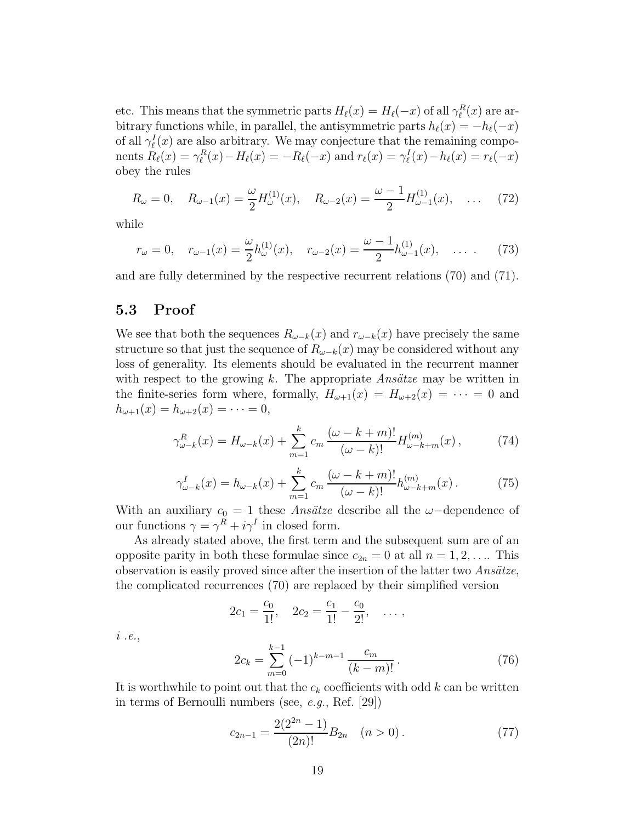etc. This means that the symmetric parts  $H_{\ell}(x) = H_{\ell}(-x)$  of all  $\gamma_{\ell}^{R}(x)$  are arbitrary functions while, in parallel, the antisymmetric parts  $h_{\ell}(x) = -h_{\ell}(-x)$ of all  $\gamma_{\ell}^{I}(x)$  are also arbitrary. We may conjecture that the remaining components  $R_{\ell}(x) = \gamma_{\ell}^{R}(x) - H_{\ell}(x) = -R_{\ell}(-x)$  and  $r_{\ell}(x) = \gamma_{\ell}^{I}(x) - h_{\ell}(x) = r_{\ell}(-x)$ obey the rules

$$
R_{\omega} = 0, \quad R_{\omega - 1}(x) = \frac{\omega}{2} H_{\omega}^{(1)}(x), \quad R_{\omega - 2}(x) = \frac{\omega - 1}{2} H_{\omega - 1}^{(1)}(x), \quad \dots \quad (72)
$$

while

$$
r_{\omega} = 0, \quad r_{\omega - 1}(x) = \frac{\omega}{2} h_{\omega}^{(1)}(x), \quad r_{\omega - 2}(x) = \frac{\omega - 1}{2} h_{\omega - 1}^{(1)}(x), \quad \dots \quad (73)
$$

and are fully determined by the respective recurrent relations (70) and (71).

### 5.3 Proof

We see that both the sequences  $R_{\omega-k}(x)$  and  $r_{\omega-k}(x)$  have precisely the same structure so that just the sequence of  $R_{\omega-k}(x)$  may be considered without any loss of generality. Its elements should be evaluated in the recurrent manner with respect to the growing k. The appropriate  $Ans\ddot{a}tze$  may be written in the finite-series form where, formally,  $H_{\omega+1}(x) = H_{\omega+2}(x) = \cdots = 0$  and  $h_{\omega+1}(x) = h_{\omega+2}(x) = \cdots = 0,$ 

$$
\gamma_{\omega-k}^{R}(x) = H_{\omega-k}(x) + \sum_{m=1}^{k} c_m \frac{(\omega - k + m)!}{(\omega - k)!} H_{\omega-k+m}^{(m)}(x) ,\qquad(74)
$$

$$
\gamma_{\omega-k}^I(x) = h_{\omega-k}(x) + \sum_{m=1}^k c_m \frac{(\omega - k + m)!}{(\omega - k)!} h_{\omega-k+m}^{(m)}(x).
$$
 (75)

With an auxiliary  $c_0 = 1$  these *Ansätze* describe all the  $\omega$ -dependence of our functions  $\gamma = \gamma^R + i\gamma^I$  in closed form.

As already stated above, the first term and the subsequent sum are of an opposite parity in both these formulae since  $c_{2n} = 0$  at all  $n = 1, 2, \ldots$  This observation is easily proved since after the insertion of the latter two *Ans¨atze*, the complicated recurrences (70) are replaced by their simplified version

$$
2c_1 = \frac{c_0}{1!}
$$
,  $2c_2 = \frac{c_1}{1!} - \frac{c_0}{2!}$ , ...,

*i .e.*,

$$
2c_k = \sum_{m=0}^{k-1} (-1)^{k-m-1} \frac{c_m}{(k-m)!}.
$$
 (76)

It is worthwhile to point out that the  $c_k$  coefficients with odd k can be written in terms of Bernoulli numbers (see, *e.g.*, Ref. [29])

$$
c_{2n-1} = \frac{2(2^{2n} - 1)}{(2n)!} B_{2n} \quad (n > 0).
$$
 (77)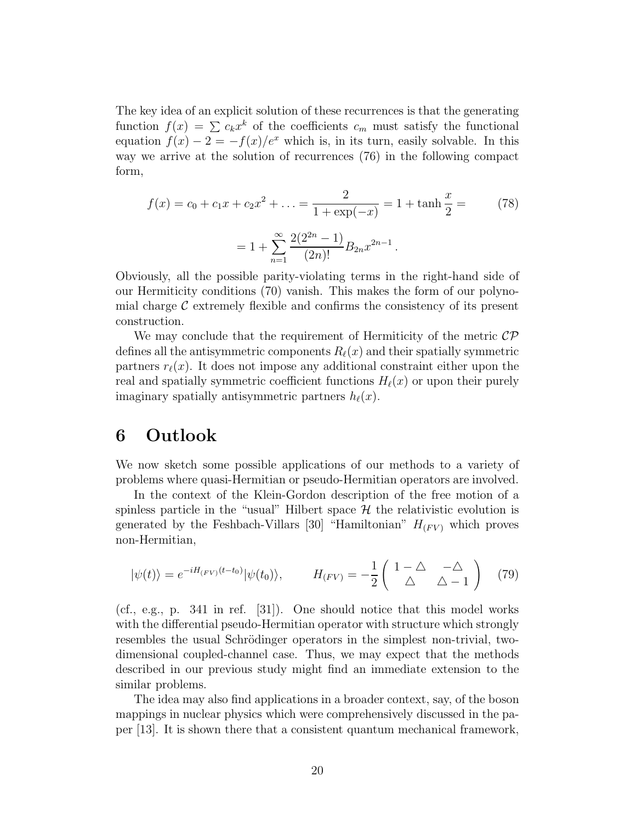The key idea of an explicit solution of these recurrences is that the generating function  $f(x) = \sum c_k x^k$  of the coefficients  $c_m$  must satisfy the functional equation  $f(x) - 2 = -f(x)/e^x$  which is, in its turn, easily solvable. In this way we arrive at the solution of recurrences (76) in the following compact form,

$$
f(x) = c_0 + c_1 x + c_2 x^2 + \dots = \frac{2}{1 + \exp(-x)} = 1 + \tanh\frac{x}{2} = \qquad (78)
$$

$$
= 1 + \sum_{n=1}^{\infty} \frac{2(2^{2n} - 1)}{(2n)!} B_{2n} x^{2n-1}.
$$

Obviously, all the possible parity-violating terms in the right-hand side of our Hermiticity conditions (70) vanish. This makes the form of our polynomial charge  $\mathcal C$  extremely flexible and confirms the consistency of its present construction.

We may conclude that the requirement of Hermiticity of the metric  $\mathcal{CP}$ defines all the antisymmetric components  $R_{\ell}(x)$  and their spatially symmetric partners  $r_{\ell}(x)$ . It does not impose any additional constraint either upon the real and spatially symmetric coefficient functions  $H_{\ell}(x)$  or upon their purely imaginary spatially antisymmetric partners  $h_{\ell}(x)$ .

# 6 Outlook

We now sketch some possible applications of our methods to a variety of problems where quasi-Hermitian or pseudo-Hermitian operators are involved.

In the context of the Klein-Gordon description of the free motion of a spinless particle in the "usual" Hilbert space  $\mathcal H$  the relativistic evolution is generated by the Feshbach-Villars [30] "Hamiltonian"  $H_{(FV)}$  which proves non-Hermitian,

$$
|\psi(t)\rangle = e^{-iH_{(FV)}(t-t_0)}|\psi(t_0)\rangle, \qquad H_{(FV)} = -\frac{1}{2}\begin{pmatrix} 1-\Delta & -\Delta\\ \Delta & \Delta - 1 \end{pmatrix} \tag{79}
$$

(cf., e.g., p. 341 in ref. [31]). One should notice that this model works with the differential pseudo-Hermitian operator with structure which strongly resembles the usual Schrödinger operators in the simplest non-trivial, twodimensional coupled-channel case. Thus, we may expect that the methods described in our previous study might find an immediate extension to the similar problems.

The idea may also find applications in a broader context, say, of the boson mappings in nuclear physics which were comprehensively discussed in the paper [13]. It is shown there that a consistent quantum mechanical framework,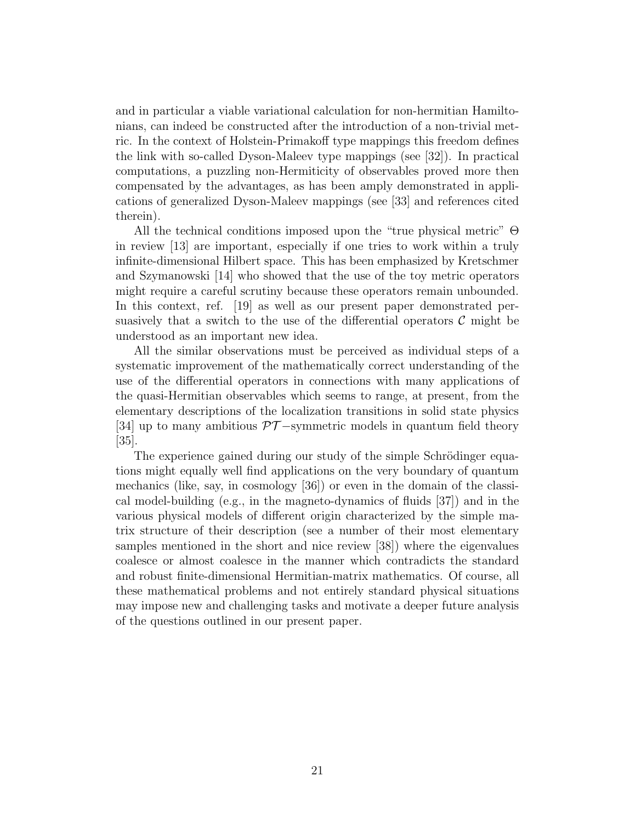and in particular a viable variational calculation for non-hermitian Hamiltonians, can indeed be constructed after the introduction of a non-trivial metric. In the context of Holstein-Primakoff type mappings this freedom defines the link with so-called Dyson-Maleev type mappings (see [32]). In practical computations, a puzzling non-Hermiticity of observables proved more then compensated by the advantages, as has been amply demonstrated in applications of generalized Dyson-Maleev mappings (see [33] and references cited therein).

All the technical conditions imposed upon the "true physical metric" Θ in review [13] are important, especially if one tries to work within a truly infinite-dimensional Hilbert space. This has been emphasized by Kretschmer and Szymanowski [14] who showed that the use of the toy metric operators might require a careful scrutiny because these operators remain unbounded. In this context, ref. [19] as well as our present paper demonstrated persuasively that a switch to the use of the differential operators  $\mathcal C$  might be understood as an important new idea.

All the similar observations must be perceived as individual steps of a systematic improvement of the mathematically correct understanding of the use of the differential operators in connections with many applications of the quasi-Hermitian observables which seems to range, at present, from the elementary descriptions of the localization transitions in solid state physics [34] up to many ambitious  $\mathcal{PT}-$ symmetric models in quantum field theory [35].

The experience gained during our study of the simple Schrödinger equations might equally well find applications on the very boundary of quantum mechanics (like, say, in cosmology [36]) or even in the domain of the classical model-building (e.g., in the magneto-dynamics of fluids [37]) and in the various physical models of different origin characterized by the simple matrix structure of their description (see a number of their most elementary samples mentioned in the short and nice review [38]) where the eigenvalues coalesce or almost coalesce in the manner which contradicts the standard and robust finite-dimensional Hermitian-matrix mathematics. Of course, all these mathematical problems and not entirely standard physical situations may impose new and challenging tasks and motivate a deeper future analysis of the questions outlined in our present paper.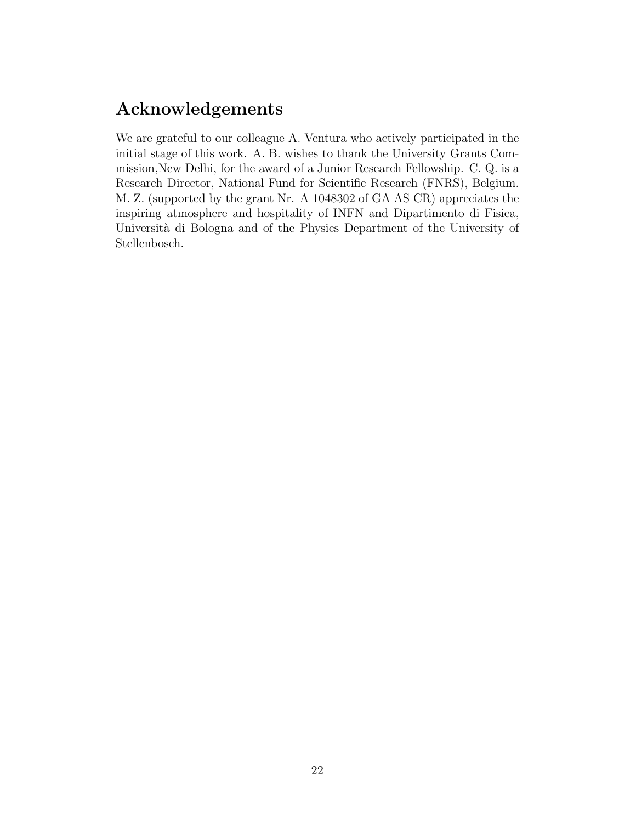# Acknowledgements

We are grateful to our colleague A. Ventura who actively participated in the initial stage of this work. A. B. wishes to thank the University Grants Commission,New Delhi, for the award of a Junior Research Fellowship. C. Q. is a Research Director, National Fund for Scientific Research (FNRS), Belgium. M. Z. (supported by the grant Nr. A 1048302 of GA AS CR) appreciates the inspiring atmosphere and hospitality of INFN and Dipartimento di Fisica, Università di Bologna and of the Physics Department of the University of Stellenbosch.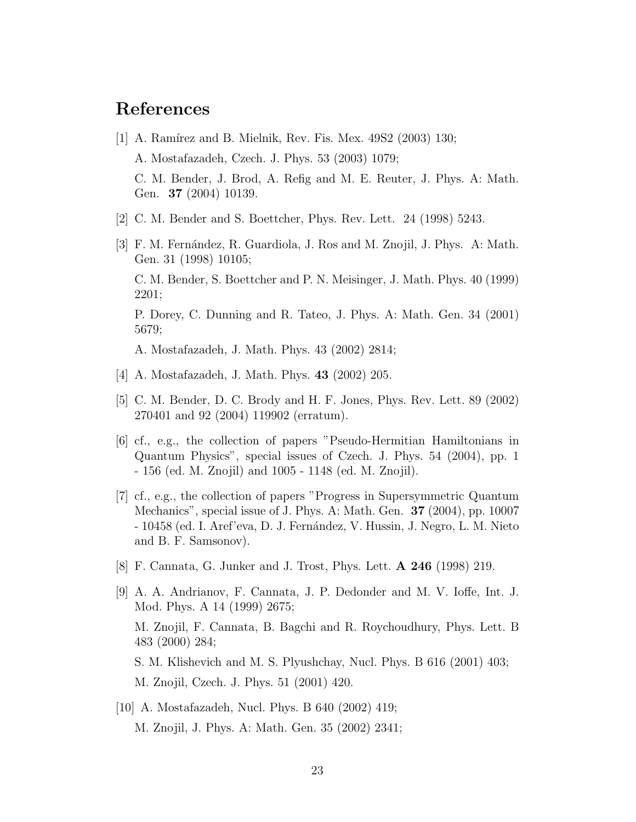# References

- [1] A. Ramírez and B. Mielnik, Rev. Fis. Mex. 49S2 (2003) 130; A. Mostafazadeh, Czech. J. Phys. 53 (2003) 1079; C. M. Bender, J. Brod, A. Refig and M. E. Reuter, J. Phys. A: Math. Gen. 37 (2004) 10139.
- [2] C. M. Bender and S. Boettcher, Phys. Rev. Lett. 24 (1998) 5243.
- [3] F. M. Fernández, R. Guardiola, J. Ros and M. Znojil, J. Phys. A: Math. Gen. 31 (1998) 10105; C. M. Bender, S. Boettcher and P. N. Meisinger, J. Math. Phys. 40 (1999) 2201; P. Dorey, C. Dunning and R. Tateo, J. Phys. A: Math. Gen. 34 (2001) 5679; A. Mostafazadeh, J. Math. Phys. 43 (2002) 2814;
- [4] A. Mostafazadeh, J. Math. Phys. 43 (2002) 205.
- [5] C. M. Bender, D. C. Brody and H. F. Jones, Phys. Rev. Lett. 89 (2002) 270401 and 92 (2004) 119902 (erratum).
- [6] cf., e.g., the collection of papers "Pseudo-Hermitian Hamiltonians in Quantum Physics", special issues of Czech. J. Phys. 54 (2004), pp. 1 - 156 (ed. M. Znojil) and 1005 - 1148 (ed. M. Znojil).
- [7] cf., e.g., the collection of papers "Progress in Supersymmetric Quantum Mechanics", special issue of J. Phys. A: Math. Gen. 37 (2004), pp. 10007 - 10458 (ed. I. Aref'eva, D. J. Fern´andez, V. Hussin, J. Negro, L. M. Nieto and B. F. Samsonov).
- [8] F. Cannata, G. Junker and J. Trost, Phys. Lett. A 246 (1998) 219.
- [9] A. A. Andrianov, F. Cannata, J. P. Dedonder and M. V. Ioffe, Int. J. Mod. Phys. A 14 (1999) 2675; M. Znojil, F. Cannata, B. Bagchi and R. Roychoudhury, Phys. Lett. B 483 (2000) 284; S. M. Klishevich and M. S. Plyushchay, Nucl. Phys. B 616 (2001) 403; M. Znojil, Czech. J. Phys. 51 (2001) 420.
- [10] A. Mostafazadeh, Nucl. Phys. B 640 (2002) 419; M. Znojil, J. Phys. A: Math. Gen. 35 (2002) 2341;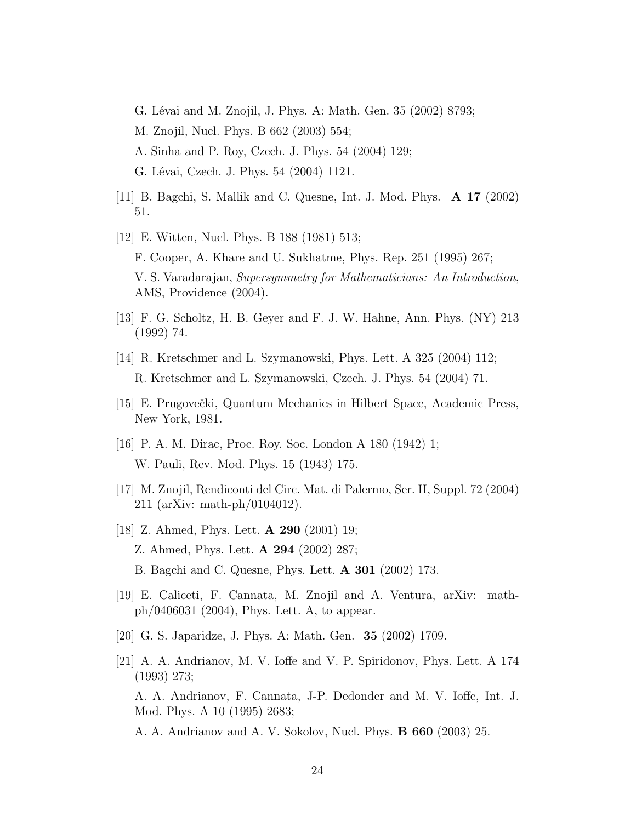G. Lévai and M. Znojil, J. Phys. A: Math. Gen. 35 (2002) 8793; M. Znojil, Nucl. Phys. B 662 (2003) 554; A. Sinha and P. Roy, Czech. J. Phys. 54 (2004) 129; G. Lévai, Czech. J. Phys. 54 (2004) 1121.

- [11] B. Bagchi, S. Mallik and C. Quesne, Int. J. Mod. Phys. A 17 (2002) 51.
- [12] E. Witten, Nucl. Phys. B 188 (1981) 513; F. Cooper, A. Khare and U. Sukhatme, Phys. Rep. 251 (1995) 267; V. S. Varadarajan, *Supersymmetry for Mathematicians: An Introduction*, AMS, Providence (2004).
- [13] F. G. Scholtz, H. B. Geyer and F. J. W. Hahne, Ann. Phys. (NY) 213 (1992) 74.
- [14] R. Kretschmer and L. Szymanowski, Phys. Lett. A 325 (2004) 112; R. Kretschmer and L. Szymanowski, Czech. J. Phys. 54 (2004) 71.
- [15] E. Prugovečki, Quantum Mechanics in Hilbert Space, Academic Press, New York, 1981.
- [16] P. A. M. Dirac, Proc. Roy. Soc. London A 180 (1942) 1; W. Pauli, Rev. Mod. Phys. 15 (1943) 175.
- [17] M. Znojil, Rendiconti del Circ. Mat. di Palermo, Ser. II, Suppl. 72 (2004) 211 (arXiv: math-ph/0104012).
- [18] Z. Ahmed, Phys. Lett. A 290 (2001) 19; Z. Ahmed, Phys. Lett. A 294 (2002) 287; B. Bagchi and C. Quesne, Phys. Lett. A 301 (2002) 173.
- [19] E. Caliceti, F. Cannata, M. Znojil and A. Ventura, arXiv: mathph/0406031 (2004), Phys. Lett. A, to appear.
- [20] G. S. Japaridze, J. Phys. A: Math. Gen. 35 (2002) 1709.
- [21] A. A. Andrianov, M. V. Ioffe and V. P. Spiridonov, Phys. Lett. A 174 (1993) 273; A. A. Andrianov, F. Cannata, J-P. Dedonder and M. V. Ioffe, Int. J. Mod. Phys. A 10 (1995) 2683; A. A. Andrianov and A. V. Sokolov, Nucl. Phys. B 660 (2003) 25.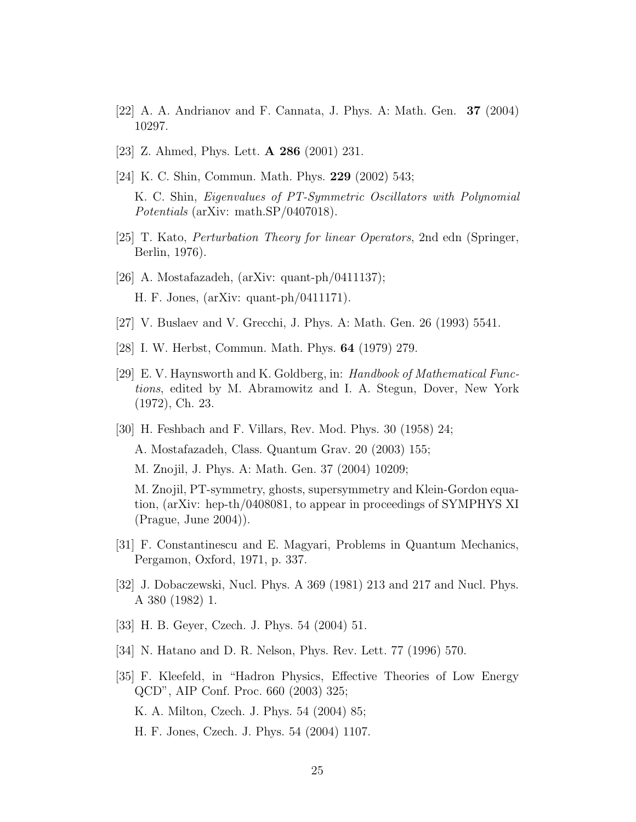- $[22]$  A. A. Andrianov and F. Cannata, J. Phys. A: Math. Gen. **37** (2004) 10297.
- [23] Z. Ahmed, Phys. Lett. A 286 (2001) 231.
- [24] K. C. Shin, Commun. Math. Phys. 229 (2002) 543; K. C. Shin, *Eigenvalues of PT-Symmetric Oscillators with Polynomial Potentials* (arXiv: math.SP/0407018).
- [25] T. Kato, *Perturbation Theory for linear Operators*, 2nd edn (Springer, Berlin, 1976).
- [26] A. Mostafazadeh, (arXiv: quant-ph/0411137); H. F. Jones, (arXiv: quant-ph/0411171).
- [27] V. Buslaev and V. Grecchi, J. Phys. A: Math. Gen. 26 (1993) 5541.
- [28] I. W. Herbst, Commun. Math. Phys. 64 (1979) 279.
- [29] E. V. Haynsworth and K. Goldberg, in: *Handbook of Mathematical Functions*, edited by M. Abramowitz and I. A. Stegun, Dover, New York (1972), Ch. 23.
- [30] H. Feshbach and F. Villars, Rev. Mod. Phys. 30 (1958) 24; A. Mostafazadeh, Class. Quantum Grav. 20 (2003) 155; M. Znojil, J. Phys. A: Math. Gen. 37 (2004) 10209;

M. Znojil, PT-symmetry, ghosts, supersymmetry and Klein-Gordon equation, (arXiv: hep-th/0408081, to appear in proceedings of SYMPHYS XI (Prague, June 2004)).

- [31] F. Constantinescu and E. Magyari, Problems in Quantum Mechanics, Pergamon, Oxford, 1971, p. 337.
- [32] J. Dobaczewski, Nucl. Phys. A 369 (1981) 213 and 217 and Nucl. Phys. A 380 (1982) 1.
- [33] H. B. Geyer, Czech. J. Phys. 54 (2004) 51.
- [34] N. Hatano and D. R. Nelson, Phys. Rev. Lett. 77 (1996) 570.
- [35] F. Kleefeld, in "Hadron Physics, Effective Theories of Low Energy QCD", AIP Conf. Proc. 660 (2003) 325; K. A. Milton, Czech. J. Phys. 54 (2004) 85; H. F. Jones, Czech. J. Phys. 54 (2004) 1107.